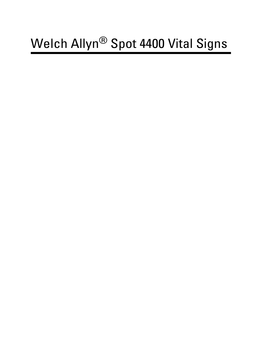# Welch Allyn® Spot 4400 Vital Signs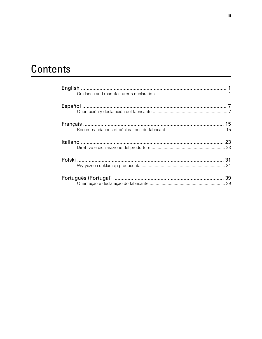# Contents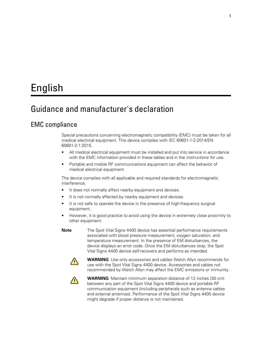# <span id="page-4-0"></span>English

# Guidance and manufacturer's declaration

### EMC compliance

Special precautions concerning electromagnetic compatibility (EMC) must be taken for all medical electrical equipment. This device complies with IEC 60601-1-2:2014/EN 60601-2-1:2015.

- All medical electrical equipment must be installed and put into service in accordance with the EMC information provided in these tables and in the *Instructions for use.*
- Portable and mobile RF communications equipment can affect the behavior of medical electrical equipment.

The device complies with all applicable and required standards for electromagnetic interference.

- It does not normally affect nearby equipment and devices.
- It is not normally affected by nearby equipment and devices.
- It is not safe to operate the device in the presence of high-frequency surgical equipment.
- However, it is good practice to avoid using the device in extremely close proximity to other equipment.

**Note** The Spot Vital Signs 4400 device has essential performance requirements associated with blood pressure measurement, oxygen saturation, and temperature measurement. In the presence of EM disturbances, the device displays an error code. Once the EM disturbances stop, the Spot Vital Signs 4400 device self-recovers and performs as intended.



**WARNING** Use only accessories and cables Welch Allyn recommends for use with the Spot Vital Signs 4400 device. Accessories and cables not recommended by Welch Allyn may affect the EMC emissions or immunity.



**WARNING** Maintain minimum separation distance of 12 inches (30 cm) between any part of the Spot Vital Signs 4400 device and portable RF communication equipment (including peripherals such as antenna cables and external antennas). Performance of the Spot Vital Signs 4400 device might degrade if proper distance is not maintained.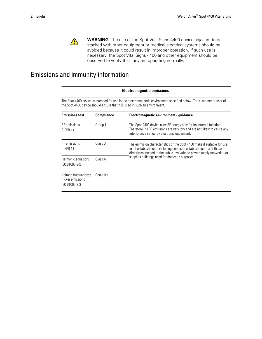

**WARNING** The use of the Spot Vital Signs 4400 device adjacent to or stacked with other equipment or medical electrical systems should be avoided because it could result in improper operation. If such use is necessary, the Spot Vital Signs 4400 and other equipment should be observed to verify that they are operating normally.

## Emissions and immunity information

|                                                             | <b>Electromagnetic emissions</b>                                                                                                                                                                   |                                                                                                                                                                                                                       |  |  |  |  |
|-------------------------------------------------------------|----------------------------------------------------------------------------------------------------------------------------------------------------------------------------------------------------|-----------------------------------------------------------------------------------------------------------------------------------------------------------------------------------------------------------------------|--|--|--|--|
|                                                             | The Spot 4400 device is intended for use in the electromagnetic environment specified below. The customer or user of<br>the Spot 4400 device should ensure that it is used in such an environment. |                                                                                                                                                                                                                       |  |  |  |  |
| <b>Emissions test</b>                                       | <b>Compliance</b>                                                                                                                                                                                  | Electromagnetic environment - guidance                                                                                                                                                                                |  |  |  |  |
| <b>RF</b> emissions<br>CISPR 11                             | Group 1                                                                                                                                                                                            | The Spot 4400 device uses RF energy only for its internal function.<br>Therefore, its RF emissions are very low and are not likely to cause any<br>interference in nearby electronic equipment.                       |  |  |  |  |
| <b>RF</b> emissions<br>CISPR <sub>11</sub>                  | Class B                                                                                                                                                                                            | The emmision characteristics of the Spot 4400 make it suitable for use<br>in all establishments including domestic establishments and those<br>directly connected to the public low voltage power supply network that |  |  |  |  |
| Harmonic emissions<br>IEC 61000-3-2                         | Class A                                                                                                                                                                                            | supplies buildings used for domestic purposes.                                                                                                                                                                        |  |  |  |  |
| Voltage fluctuations/<br>flicker emissions<br>IEC 61000-3-3 | Complies                                                                                                                                                                                           |                                                                                                                                                                                                                       |  |  |  |  |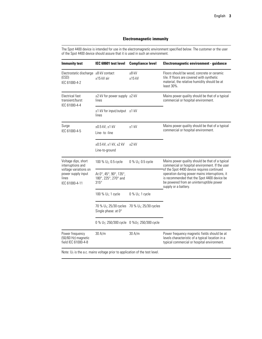### **Electromagnetic immunity**

The Spot 4400 device is intended for use in the electromagnetic environment specified below. The customer or the user of the Spot 4400 device should assure that it is used in such an environment.

| <b>Immunity test</b>                                                                                               | IEC 60601 test level                                                          | <b>Compliance level</b>            | Electromagnetic environment - guidance                                                                                                                                                                          |
|--------------------------------------------------------------------------------------------------------------------|-------------------------------------------------------------------------------|------------------------------------|-----------------------------------------------------------------------------------------------------------------------------------------------------------------------------------------------------------------|
| Electrostatic discharge $±8$ kV contact<br>(ESD)<br>IEC 61000-4-2                                                  | ±15 kV air                                                                    | $±8$ kV<br>$±15$ kV                | Floors should be wood, concrete or ceramic<br>tile. If floors are covered with synthetic<br>material, the relative humidity should be at<br>least 30%.                                                          |
| Electrical fast<br>transient/burst<br>IEC 61000-4-4                                                                | ±2 kV for power supply ±2 kV<br>lines                                         |                                    | Mains power quality should be that of a typical<br>commercial or hospital environment.                                                                                                                          |
|                                                                                                                    | ±1 kV for input/output ±1 kV<br>lines                                         |                                    |                                                                                                                                                                                                                 |
| Surge<br>IEC 61000-4-5                                                                                             | $\pm 0.5$ kV, $\pm 1$ kV<br>Line-to-line                                      | $±1$ kV                            | Mains power quality should be that of a typical<br>commercial or hospital environment.                                                                                                                          |
|                                                                                                                    | ±0.5 kV, ±1 kV, ±2 kV<br>Line-to-ground                                       | $+2$ kV                            |                                                                                                                                                                                                                 |
| Voltage dips, short<br>interruptions and<br>voltage variations on<br>power supply input<br>lines<br>IEC 61000-4-11 | 100 % $U_T$ ; 0.5 cycle                                                       | 0 % $U_T$ ; 0.5 cycle              | Mains power quality should be that of a typical<br>commercial or hospital environment. If the user                                                                                                              |
|                                                                                                                    | At 0°, 45°, 90°, 135°,<br>180°, 225°, 270° and<br>$315^\circ$                 |                                    | of the Spot 4400 device requires continued<br>operation during power mains interruptions, it<br>is recommended that the Spot 4400 device be<br>be powered from an uninterruptible power<br>supply or a battery. |
|                                                                                                                    | 100 % U <sub>T</sub> ; 1 cycle                                                | $0\%$ U <sub>T</sub> ; 1 cycle     |                                                                                                                                                                                                                 |
|                                                                                                                    | 70 % U <sub>T</sub> ; 25/30 cycles<br>Single phase: at 0°                     | 70 % U <sub>T</sub> ; 25/30 cycles |                                                                                                                                                                                                                 |
|                                                                                                                    | 0 % U <sub>T</sub> ; 250/300 cycle 0 %U <sub>T</sub> ; 250/300 cycle          |                                    |                                                                                                                                                                                                                 |
| Power frequency<br>(50/60 Hz) magnetic<br>field IEC 61000-4-8                                                      | 30 A/m                                                                        | 30 A/m                             | Power frequency magnetic fields should be at<br>levels characteristic of a typical location in a<br>typical commercial or hospital environment.                                                                 |
|                                                                                                                    | Note: $U_T$ is the a.c. mains voltage prior to application of the test level. |                                    |                                                                                                                                                                                                                 |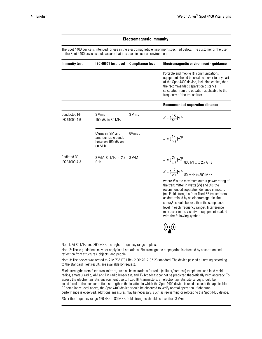### **Electromagnetic immunity**

The Spot 4400 device is intended for use in the electromagnetic environment specified below. The customer or the user of the Spot 4400 device should assure that it is used in such an environment.

| <b>Immunity test</b>                 | IEC 60601 test level                                                      | <b>Compliance level</b> | Electromagnetic environment - guidance                                                                                                                                                                                                                                                                                                                                                                      |
|--------------------------------------|---------------------------------------------------------------------------|-------------------------|-------------------------------------------------------------------------------------------------------------------------------------------------------------------------------------------------------------------------------------------------------------------------------------------------------------------------------------------------------------------------------------------------------------|
|                                      |                                                                           |                         | Portable and mobile RF communications<br>equipment should be used no closer to any part<br>of the Spot 4400 device, including cables, than<br>the recommended separation distance<br>calculated from the equation applicable to the<br>frequency of the transmitter.                                                                                                                                        |
|                                      |                                                                           |                         | <b>Recommended separation distance</b>                                                                                                                                                                                                                                                                                                                                                                      |
| <b>Conducted RF</b><br>IEC 61000-4-6 | 3 Vrms<br>150 kHz to 80 MHz                                               | 3 Vrms                  | $d = \left[\frac{3.5}{V_1}\right] \sqrt{P}$                                                                                                                                                                                                                                                                                                                                                                 |
|                                      | 6Vrms in ISM and<br>amateur radio bands<br>between 150 kHz and<br>80 MHz. | $6V$ rms.               | $d = \left[\frac{12}{V_2}\right] \sqrt{P}$                                                                                                                                                                                                                                                                                                                                                                  |
| <b>Radiated RF</b><br>IEC 61000-4-3  | 3 V/M, 80 MHz to 2.7<br>GHz                                               | 3 V/M                   | $d = \frac{23}{E1} \sqrt{P}$ 800 MHz to 2.7 GHz<br>$d=[\frac{12}{E1}]\sqrt{P}$ 80 MHz to 800 MHz<br>where $P$ is the maximum output power rating of<br>the transmitter in watts (W) and $d$ is the<br>recommended separation distance in meters<br>(m). Field strengths from fixed RF transmitters,<br>as determined by an electromagnetic site<br>survey <sup>a</sup> , should be less than the compliance |
|                                      |                                                                           |                         | level in each frequency range <sup>b</sup> . Interference<br>may occur in the vicinity of equipment marked<br>with the following symbol:                                                                                                                                                                                                                                                                    |

Note1: At 80 MHz and 800 MHz, the higher frequency range applies.

Note 2: These guidelines may not apply in all situations. Electromagnetic propagation is affected by absorption and reflection from structures, objects, and people.

Note 3: The device was tested to AIM 7351731 Rev 2.00: 2017-02-23 standard. The device passed all testing according to the standard. Test results are available by request.

a Field strengths from fixed transmitters, such as base stations for radio (cellular/cordless) telephones and land mobile radios, amateur radio, AM and FM radio broadcast, and TV broadcast cannot be predicted theoretically with accuracy. To assess the electromagnetic environment due to fixed RF transmitters, an electromagnetic site survey should be considered. If the measured field strength in the location in which the Spot 4400 device is used exceeds the applicable RF compliance level above, the Spot 4400 device should be observed to verify normal operation. If abnormal performance is observed, additional measures may be necessary, such as reorienting or relocating the Spot 4400 device.

b<sub>Over the frequency range 150 kHz to 80 MHz, field strengths should be less than 3 V/m.</sub>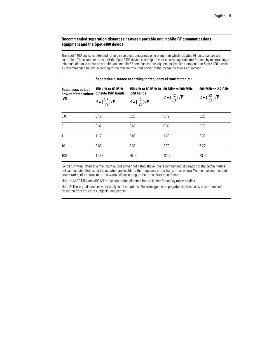### **Recommended separation distances between portable and mobile RF communications equipment and the Spot 4400 device**

The Spot 4400 device is intended for use in an electromagnetic environment in which radiated RF disturbances are controlled. The customer or user of the Spot 4400 device can help prevent electromagnetic interference by maintaining a minimum distance between portable and mobile RF communications equipment (transmitters) and the Spot 4400 device as recommended below, according to the maximum output power of the communications equipment.

| Rated max. output<br>power of transmitter<br>(W) | 150 kHz to 80 MHz<br>outside ISM bands<br>$d = \left[\frac{3.5}{V_1}\right] \sqrt{P}$ | 150 kHz to 80 MHz in 80 MHz to 800 MHz<br><b>ISM bands</b><br>$d = \left[\frac{12}{V_2}\right] \sqrt{P}$ | $d = \left[\frac{12}{E_1}\right] \sqrt{P}$ | 800 MHz to 2.7 GHz<br>$d = \left[\frac{23}{F_1}\right] \sqrt{P}$ |
|--------------------------------------------------|---------------------------------------------------------------------------------------|----------------------------------------------------------------------------------------------------------|--------------------------------------------|------------------------------------------------------------------|
| 0.01                                             | 0.12                                                                                  | 0.20                                                                                                     | 0.12                                       | 0.23                                                             |
| 0.1                                              | 0.37                                                                                  | 0.63                                                                                                     | 0.38                                       | 0.73                                                             |
| 1                                                | 1.17                                                                                  | 2.00                                                                                                     | 1.20                                       | 2.30                                                             |
| 10                                               | 3.69                                                                                  | 6.32                                                                                                     | 3.79                                       | 7.27                                                             |
| 100                                              | 11.67                                                                                 | 20.00                                                                                                    | 12.00                                      | 23.00                                                            |

For transmitters rated at a maximum output power not listed above, the recommended separation distance*d* in meters (m) can be estimated using the equation applicable to the frequency of the transmitter, where *P* is the maximum output power rating of the transmitter in watts (W) according to the transmitter manufacturer.

Note 1: At 80 MHz and 800 MHz, the separation distance for the higher frequency range applies.

Note 2: These guidelines may not apply in all situations. Electromagnetic propagation is affected by absorption and reflection from structures, objects, and people.

#### **Separation distance according to frequency of transmitter (m)**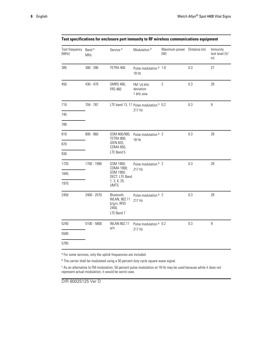| Test frequency<br>(MHz) | Band <sup>a</sup><br>MHz | Service <sup>a</sup>                                                | Modulation <sup>b</sup>                             | Maximum power Distance (m)<br>(W) |     | Immunity<br>test level (V/<br>m) |
|-------------------------|--------------------------|---------------------------------------------------------------------|-----------------------------------------------------|-----------------------------------|-----|----------------------------------|
| 385                     | 380 - 390                | TETRA 400                                                           | Pulse modulation <b>b</b> 1.8<br>18 Hz              |                                   | 0.3 | 27                               |
| 450                     | 430 - 470                | GMRS 460,<br><b>FRS 460</b>                                         | FM <sup>c</sup> ±5 kHz<br>deviation<br>1 kHz sine   | $\overline{2}$                    | 0.3 | 28                               |
| 710                     | 704 - 787                |                                                                     | LTE band 13, 17 Pulse modulation b 0.2              |                                   | 0.3 | 9                                |
| 745                     |                          |                                                                     | 217 Hz                                              |                                   |     |                                  |
| 780                     |                          |                                                                     |                                                     |                                   |     |                                  |
| 810                     | 800 - 960                | GSM 800/900,                                                        | Pulse modulation <b>b</b> 2<br>TETRA 800,<br>18 Hz  |                                   | 0.3 | 28                               |
| 870                     |                          | iDEN 820,<br>CDMA 850,                                              |                                                     |                                   |     |                                  |
| 930                     |                          | LTE Band 5                                                          |                                                     |                                   |     |                                  |
| 1720                    | 1700 - 1990              | GSM 1800;                                                           | Pulse modulation <b>b</b> 2<br>CDMA 1900;<br>217 Hz |                                   | 0.3 | 28                               |
| 1845                    |                          | GSM 1900;<br>DECT; LTE Band                                         |                                                     |                                   |     |                                  |
| 1970                    |                          | 1, 3, 4, 25;<br><b>UMTS</b>                                         |                                                     |                                   |     |                                  |
| 2450                    | 2400 - 2570              | Bluetooth,<br>WLAN, 802.11<br>$b/g/n$ , RFID<br>2450,<br>LTE Band 7 | Pulse modulation <b>b</b> 2<br>217 Hz               |                                   | 0.3 | 28                               |
| 5240                    | 5100 - 5800              | WLAN 802.11<br>a/n                                                  | Pulse modulation <b>b</b> 0.2                       |                                   | 0.3 | $\boldsymbol{9}$                 |
| 5500                    |                          |                                                                     | 217 Hz                                              |                                   |     |                                  |
| 5785                    |                          |                                                                     |                                                     |                                   |     |                                  |

### **Test specifications for enclosure port immunity to RF wireless communications equipment**

<sup>a</sup> For some services, only the uplink frequencies are included.

<sup>b</sup> The carrier shall be modulated using a 50 percent duty cycle square wave signal.

<sup>c</sup> As an alternative to FM modulation, 50 percent pulse modulation at 18 Hz may be used because while it does not represent actual modulation, it would be worst case.

DIR 80025125 Ver D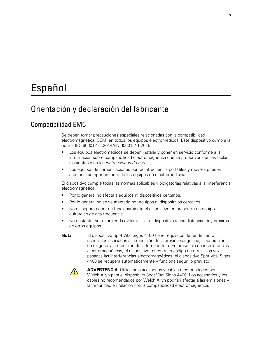# <span id="page-10-0"></span>Español

# Orientación y declaración del fabricante

### Compatibilidad EMC

Se deben tomar precauciones especiales relacionadas con la compatibilidad electromagnética (CEM) en todos los equipos electromédicos. Este dispositivo cumple la norma IEC 60601-1-2:2014/EN 60601-2-1:2015.

- Los equipos electromédicos se deben instalar y poner en servicio conforme a la información sobre compatibilidad electromagnética que se proporciona en las tablas siguientes y en las *instrucciones de uso.*
- Los equipos de comunicaciones por radiofrecuencia portátiles y móviles pueden afectar al comportamiento de los equipos de electromedicina.

El dispositivo cumple todas las normas aplicables y obligatorias relativas a la interferencia electromagnética.

- Por lo general no afecta a equipos ni dispositivos cercanos.
- Por lo general no se ve afectado por equipos ni dispositivos cercanos.
- No es seguro poner en funcionamiento el dispositivo en presencia de equipo quirúrgico de alta frecuencia.
- No obstante, se recomienda evitar utilizar el dispositivo a una distancia muy próxima de otros equipos.

**Nota** El dispositivo Spot Vital Signs 4400 tiene requisitos de rendimiento esenciales asociados a la medición de la presión sanguínea, la saturación de oxígeno y la medición de la temperatura. En presencia de interferencias electromagnéticas, el dispositivo muestra un código de error. Una vez pasadas las interferencias electromagnéticas, el dispositivo Spot Vital Signs 4400 se recupera automáticamente y funciona según lo previsto.



**ADVERTENCIA** Utilice solo accesorios y cables recomendados por Welch Allyn para el dispositivo Spot Vital Signs 4400. Los accesorios y los cables no recomendados por Welch Allyn podrían afectar a las emisiones y la inmunidad en relación con la compatibilidad electromagnética.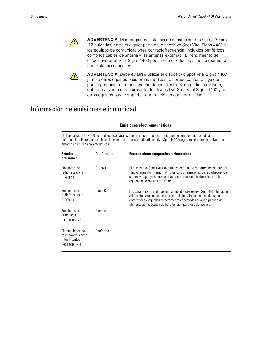

**ADVERTENCIA** Mantenga una distancia de separación mínima de 30 cm (12 pulgadas) entre cualquier parte del dispositivo Spot Vital Signs 4400 y los equipos de comunicaciones por radiofrecuencia (incluidos periféricos como los cables de antena y las antenas externas). El rendimiento del dispositivo Spot Vital Signs 4400 podría verse reducido si no se mantiene una distancia adecuada.



**ADVERTENCIA** Debe evitarse utilizar el dispositivo Spot Vital Signs 4400 junto a otros equipos o sistemas médicos, o apilado con estos, ya que podría producirse un funcionamiento incorrecto. Si no pudiese evitarse, debe observarse el rendimiento del dispositivo Spot Vital Signs 4400 y de otros equipos para comprobar que funcionan con normalidad.

### Información de emisiones e inmunidad

#### **Emisiones electromagnéticas** El dispositivo Spot 4400 se ha diseñado para usarse en un entorno electromagnético como el que se indica a continuación. Es responsabilidad del cliente o del usuario del dispositivo Spot 4400 asegurarse de que se utiliza en un entorno con dichas características. **Prueba de emisiones Conformidad Entorno electromagnético (orientación)** Emisiones de radiofrecuencia CISPR 11 Grupo 1 El dispositivo Spot 4400 solo utiliza energía de radiofrecuencia para el funcionamiento interno. Por lo tanto, sus emisiones de radiofrecuencia son muy bajas y es poco probable que causen interferencias en los equipos electrónicos próximos. Emisiones de radiofrecuencia CISPR 11 Clase B Las características de las emisiones del dispositivo Spot 4400 lo hacen adecuado para su uso en todo tipo de instalaciones, incluidas las domésticas y aquellas directamente conectadas a la red pública de alimentación eléctrica de baja tensión para uso doméstico. Emisiones de armónicos IEC 61000-3-2 Clase A Fluctuaciones de tensión/emisiones intermitentes IEC 61000-3-3 Conforme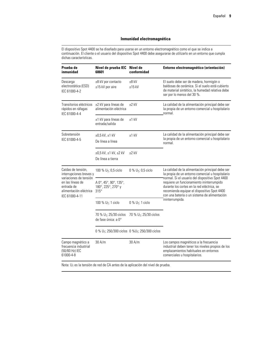El dispositivo Spot 4400 se ha diseñado para usarse en un entorno electromagnético como el que se indica a continuación. El cliente o el usuario del dispositivo Spot 4400 debe asegurarse de utilizarlo en un entorno que cumpla dichas características.

| Prueba de<br>inmunidad                                                                                                                                | Nivel de prueba IEC<br>60601                                           | Nivel de<br>conformidad            | Entorno electromagnético (orientación)                                                                                                                                                                                                    |
|-------------------------------------------------------------------------------------------------------------------------------------------------------|------------------------------------------------------------------------|------------------------------------|-------------------------------------------------------------------------------------------------------------------------------------------------------------------------------------------------------------------------------------------|
| Descarga<br>electrostática (ESD)<br>IEC 61000-4-2                                                                                                     | ±8 kV por contacto<br>±15 kV por aire                                  | $±8$ kV<br>$±15$ kV                | El suelo debe ser de madera, hormigón o<br>baldosas de cerámica. Si el suelo está cubierto<br>de material sintético, la humedad relativa debe<br>ser por lo menos del 30 %.                                                               |
| Transitorios eléctricos<br>rápidos en ráfagas<br>IEC 61000-4-4                                                                                        | ±2 kV para líneas de<br>alimentación eléctrica                         | $+2$ kV                            | La calidad de la alimentación principal debe ser<br>la propia de un entorno comercial u hospitalario<br>normal.                                                                                                                           |
|                                                                                                                                                       | ±1 kV para líneas de<br>entrada/salida                                 | $±1$ kV                            |                                                                                                                                                                                                                                           |
| Sobretensión<br>IEC 61000-4-5                                                                                                                         | $\pm 0.5$ kV, $\pm 1$ kV<br>De línea a línea                           | $±1$ kV                            | La calidad de la alimentación principal debe ser<br>la propia de un entorno comercial u hospitalario<br>normal.                                                                                                                           |
|                                                                                                                                                       | ±0,5 kV, ±1 kV, ±2 kV<br>De línea a tierra                             | $±2$ kV                            |                                                                                                                                                                                                                                           |
| Caídas de tensión,<br>interrupciones breves y<br>variaciones de tensión<br>en las líneas de<br>entrada de<br>alimentación eléctrica<br>IEC 61000-4-11 | 100 % $U_T$ ; 0,5 ciclo                                                | 0 % $U_T$ ; 0,5 ciclo              | La calidad de la alimentación principal debe ser<br>la propia de un entorno comercial u hospitalario                                                                                                                                      |
|                                                                                                                                                       | A 0°, 45°, 90°, 135°,<br>180°, 225°, 270° y<br>$315^\circ$             |                                    | normal. Si el usuario del dispositivo Spot 4400<br>requiere un funcionamiento ininterrumpido<br>durante los cortes en la red eléctrica, se<br>recomienda equipar el dispositivo Spot 4400<br>con una batería o un sistema de alimentación |
|                                                                                                                                                       | 100 % U <sub>T</sub> ; 1 ciclo                                         | $0\%$ U <sub>T</sub> ; 1 ciclo     | ininterrumpida.                                                                                                                                                                                                                           |
|                                                                                                                                                       | 70 % $U_T$ ; 25/30 ciclos<br>de fase única: a 0°                       | 70 % U <sub>T</sub> ; 25/30 ciclos |                                                                                                                                                                                                                                           |
|                                                                                                                                                       | 0 % U <sub>T</sub> ; 250/300 ciclos 0 %U <sub>T</sub> ; 250/300 ciclos |                                    |                                                                                                                                                                                                                                           |
| Campo magnético a<br>frecuencia industrial<br>(50/60 Hz) IEC<br>61000-4-8                                                                             | 30 A/m                                                                 | 30 A/m                             | Los campos magnéticos a la frecuencia<br>industrial deben tener los niveles propios de los<br>emplazamientos habituales en entornos<br>comerciales u hospitalarios.                                                                       |

Nota: U<sub>T</sub> es la tensión de red de CA antes de la aplicación del nivel de prueba.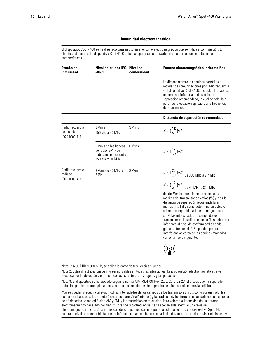El dispositivo Spot 4400 se ha diseñado para su uso en el entorno electromagnético que se indica a continuación. El cliente o el usuario del dispositivo Spot 4400 deben asegurarse de utilizarlo en un entorno que cumpla dichas características.

| Prueba de<br>inmunidad                        | Nivel de prueba IEC<br>60601                                                             | Nivel de<br>conformidad | Entorno electromagnético (orientación)                                                                                                                                                                                                                                                                                                                                                                                                                                                                                         |
|-----------------------------------------------|------------------------------------------------------------------------------------------|-------------------------|--------------------------------------------------------------------------------------------------------------------------------------------------------------------------------------------------------------------------------------------------------------------------------------------------------------------------------------------------------------------------------------------------------------------------------------------------------------------------------------------------------------------------------|
|                                               |                                                                                          |                         | La distancia entre los equipos portátiles o<br>móviles de comunicaciones por radiofrecuencia<br>y el dispositivo Spot 4400, incluidos los cables,<br>no debe ser inferior a la distancia de<br>separación recomendada, la cual se calcula a<br>partir de la ecuación aplicable a la frecuencia<br>del transmisor.                                                                                                                                                                                                              |
|                                               |                                                                                          |                         | Distancia de separación recomendada                                                                                                                                                                                                                                                                                                                                                                                                                                                                                            |
| Radiofrecuencia<br>conducida<br>IEC 61000-4-6 | 3 Vrms<br>150 kHz a 80 MHz                                                               | 3 Vrms                  | $d = \left[\frac{3.5}{V_1}\right] \sqrt{P}$                                                                                                                                                                                                                                                                                                                                                                                                                                                                                    |
|                                               | 6 Vrms en las bandas<br>de radio ISM y de<br>radioaficionados entre<br>150 kHz y 80 MHz. | 6 Vrms                  | $d = \left[\frac{12}{V_2}\right] \sqrt{P}$                                                                                                                                                                                                                                                                                                                                                                                                                                                                                     |
| Radiofrecuencia<br>radiada<br>IEC 61000-4-3   | 3 V/m, de 80 MHz a 2, 3 V/m<br>7 GHz                                                     |                         | $d=[\frac{23}{E1}]\sqrt{P}$ De 800 MHz a 2,7 GHz<br>$d=[\frac{12}{E1}]\sqrt{P}$ De 80 MHz a 800 MHz                                                                                                                                                                                                                                                                                                                                                                                                                            |
|                                               |                                                                                          |                         | donde Pes la potencia nominal de salida<br>máxima del transmisor en vatios (W) y d es la<br>distancia de separación recomendada en<br>metros (m). Tal y como determina un estudio<br>sobre la compatibilidad electromagnética in<br>situ <sup>a</sup> , las intensidades de campo de los<br>transmisores de radiofrecuencia fijos deben ser<br>inferiores al nivel de conformidad en cada<br>gama de frecuencia <sup>b</sup> . Se pueden producir<br>interferencias cerca de los equipos marcados<br>con el símbolo siguiente: |
|                                               |                                                                                          |                         | $\bigl((\underline{\cdot})\bigr)$                                                                                                                                                                                                                                                                                                                                                                                                                                                                                              |

Nota 1: A 80 MHz y 800 MHz, se aplica la gama de frecuencias superior.

Nota 2: Estas directrices pueden no ser aplicables en todas las situaciones. La propagación electromagnética se ve afectada por la absorción y el reflejo de las estructuras, los objetos y las personas.

Nota 3: El dispositivo se ha probado según la norma AIM 7351731 Rev. 2.00: 2017-02-23. El dispositivo ha superado todas las pruebas contempladas en la norma. Los resultados de la pruebas están disponibles previa solicitud.

<sup>a</sup>No se pueden predecir con exactitud las intensidades de los campos de los transmisores fijos, como por ejemplo, las estaciones base para los radioteléfonos (celulares/inalámbricos) y las radios móviles terrestres, las radiocomunicaciones de aficionados, la radiodifusión AM y FM, y la transmisión de televisión. Para valorar la intensidad de un entorno electromagnético generado por transmisores de radiofrecuencia, sería aconsejable efectuar una revisión electromagnética in situ. Si la intensidad del campo medida en el punto en el que se utiliza el dispositivo Spot 4400 supera el nivel de compatibilidad de radiofrecuencia aplicable que se ha indicado antes, es preciso revisar el dispositivo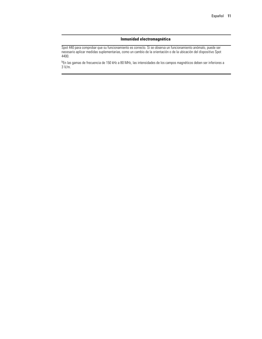Spot 440 para comprobar que su funcionamiento es correcto. Si se observa un funcionamiento anómalo, puede ser necesario aplicar medidas suplementarias, como un cambio de la orientación o de la ubicación del dispositivo Spot 4400.

b En las gamas de frecuencia de 150 kHz a 80 MHz, las intensidades de los campos magnéticos deben ser inferiores a 3 V/m.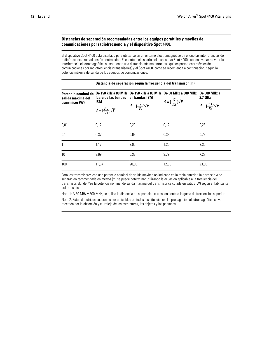### **Distancias de separación recomendadas entre los equipos portátiles y móviles de comunicaciones por radiofrecuencia y el dispositivo Spot 4400.**

El dispositivo Spot 4400 está diseñado para utilizarse en un entorno electromagnético en el que las interferencias de radiofrecuencia radiada estén controladas. El cliente o el usuario del dispositivo Spot 4400 pueden ayudar a evitar la interferencia electromagnética si mantienen una distancia mínima entre los equipos portátiles y móviles de comunicaciones por radiofrecuencia (transmisores) y el Spot 4400, como se recomienda a continuación, según la potencia máxima de salida de los equipos de comunicaciones.

### **Distancia de separación según la frecuencia del transmisor (m) Potencia nominal de De 150 kHz a 80 MHz De 150 kHz a 80 MHz De 80 MHz a 800 MHz De 800 MHz a 2,7 GHz salida máxima del fuera de las bandas en bandas ISM**  $d = [\frac{12}{E1}] \sqrt{P}$ **ISM transmisor (W)**  $d = \frac{12}{V_2} \sqrt{P}$  $d = \frac{23}{E_1} \sqrt{P}$  $d = \left[\frac{3.5}{V_1}\right] \sqrt{P}$ 0,01 0,12 0,20 0,12 0,23 0,1 0,37 0,63 0,38 0,73 1 1,17 2,00 1,20 2,30 10 3,69 6,32 3,79 7,27 100 11,67 20,00 12,00 23,00

Para los transmisores con una potencia nominal de salida máxima no indicada en la tabla anterior, la distancia *d* de separación recomendada en metros (m) se puede determinar utilizando la ecuación aplicable a la frecuencia del transmisor, donde *P* es la potencia nominal de salida máxima del transmisor calculada en vatios (W) según el fabricante del transmisor.

Nota 1: A 80 MHz y 800 MHz, se aplica la distancia de separación correspondiente a la gama de frecuencias superior.

Nota 2: Estas directrices pueden no ser aplicables en todas las situaciones. La propagación electromagnética se ve afectada por la absorción y el reflejo de las estructuras, los objetos y las personas.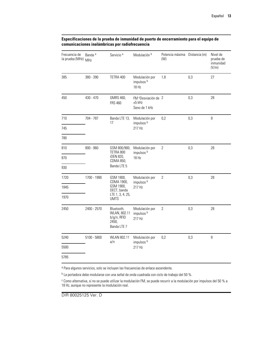| Frecuencia de<br>la prueba (MHz) MHz | Banda <sup>a</sup> | Servicio <sup>a</sup>                                                        | Modulación <sup>b</sup>                                      | Potencia máxima Distancia (m)<br>(W) |     | Nivel de<br>prueba de<br>inmunidad<br>(V/m) |
|--------------------------------------|--------------------|------------------------------------------------------------------------------|--------------------------------------------------------------|--------------------------------------|-----|---------------------------------------------|
| 385                                  | 380 - 390          | TETRA 400                                                                    | Modulación por<br>impulsos <sup>b</sup><br>18 Hz             | 1,8                                  | 0,3 | 27                                          |
| 450                                  | 430 - 470          | GMRS 460,<br><b>FRS 460</b>                                                  | FM <sup>c</sup> Desviación de 2<br>$±5$ kHz<br>Seno de 1 kHz |                                      | 0,3 | 28                                          |
| 710                                  | 704 - 787          | Banda LTE 13,<br>17                                                          | Modulación por<br>impulsos <sup>b</sup>                      | 0,2                                  | 0,3 | $\overline{9}$                              |
| 745                                  |                    |                                                                              | 217 Hz                                                       |                                      |     |                                             |
| 780                                  |                    |                                                                              |                                                              |                                      |     |                                             |
| 810                                  | $800 - 960$        | GSM 800/900,<br>TETRA 800                                                    | Modulación por<br>impulsos <sup>b</sup><br>18 Hz             | $\overline{2}$                       | 0,3 | 28                                          |
| 870                                  |                    | iDEN 820,<br>CDMA 850,                                                       |                                                              |                                      |     |                                             |
| 930                                  |                    | Banda LTE 5                                                                  |                                                              |                                      |     |                                             |
| 1720                                 | 1700 - 1990        | GSM 1800,<br>CDMA 1900,                                                      | Modulación por<br>impulsos <sup>b</sup>                      | $\overline{2}$                       | 0,3 | 28                                          |
| 1845                                 |                    | GSM 1900,<br>DECT, banda                                                     | 217 Hz                                                       |                                      |     |                                             |
| 1970                                 |                    | LTE 1, 3, 4, 25,<br><b>UMTS</b>                                              |                                                              |                                      |     |                                             |
| 2450                                 | 2400 - 2570        | Bluetooth,<br>WLAN, 802.11<br>b/g/n, RFID<br>2450,<br>Banda LTE <sub>7</sub> | Modulación por<br>impulsos <sup>b</sup><br>217 Hz            | $\overline{2}$                       | 0,3 | 28                                          |
| 5240                                 | $5100 - 5800$      | WLAN 802.11<br>a/n                                                           | Modulación por<br>impulsos <sup>b</sup><br>217 Hz            | 0,2                                  | 0,3 | $\overline{9}$                              |
| 5500                                 |                    |                                                                              |                                                              |                                      |     |                                             |
| 5785                                 |                    |                                                                              |                                                              |                                      |     |                                             |

### **Especificaciones de la prueba de inmunidad de puerto de encerramiento para el equipo de comunicaciones inalámbricas por radiofrecuencia**

<sup>a</sup> Para algunos servicios, solo se incluyen las frecuencias de enlace ascendente.

<sup>b</sup> La portadora debe modularse con una señal de onda cuadrada con ciclo de trabajo del 50 %.

<sup>c</sup> Como alternativa, si no se puede utilizar la modulación FM, se puede recurrir a la modulación por impulsos del 50 % a 18 Hz, aunque no represente la modulación real.

DIR 80025125 Ver. D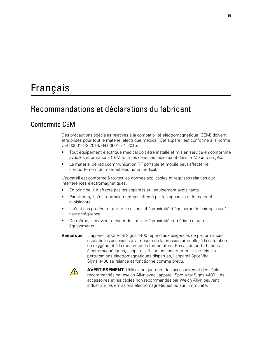# <span id="page-18-0"></span>Français

## Recommandations et déclarations du fabricant

### Conformité CEM

Des précautions spéciales relatives à la compatibilité électromagnétique (CEM) doivent être prises pour tout le matériel électrique médical. Cet appareil est conforme à la norme CEI 60601-1-2:2014/EN 60601-2-1:2015.

- Tout équipement électrique médical doit être installé et mis en service en conformité avec les informations CEM fournies dans ces tableaux et dans le *Mode d'emploi*.
- Le matériel de radiocommunication RF portable et mobile peut affecter le comportement du matériel électrique médical.

L'appareil est conforme à toutes les normes applicables et requises relatives aux interférences électromagnétiques.

- En principe, il n'affecte pas les appareils et l'équipement avoisinants.
- Par ailleurs, il n'est normalement pas affecté par les appareils et le matériel avoisinants.
- Il n'est pas prudent d'utiliser ce dispositif à proximité d'équipements chirurgicaux à haute fréquence.
- De même, il convient d'éviter de l'utiliser à proximité immédiate d'autres équipements.
- **Remarque** L'appareil Spot Vital Signs 4400 répond aux exigences de performances essentielles associées à la mesure de la pression artérielle, à la saturation en oxygène et à la mesure de la température. En cas de perturbations électromagnétiques, l'appareil affiche un code d'erreur. Une fois les perturbations électromagnétiques disparues, l'appareil Spot Vital Signs 4400 se relance et fonctionne comme prévu.



**AVERTISSEMENT** Utilisez uniquement des accessoires et des câbles recommandés par Welch Allyn avec l'appareil Spot Vital Signs 4400. Les accessoires et les câbles non recommandés par Welch Allyn peuvent influer sur les émissions électromagnétiques ou sur l'immunité.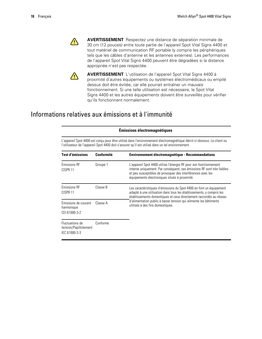

**AVERTISSEMENT** Respectez une distance de séparation minimale de 30 cm (12 pouces) entre toute partie de l'appareil Spot Vital Signs 4400 et tout matériel de communication RF portable (y compris les périphériques tels que les câbles d'antenne et les antennes externes). Les performances de l'appareil Spot Vital Signs 4400 peuvent être dégradées si la distance appropriée n'est pas respectée.



**AVERTISSEMENT** L'utilisation de l'appareil Spot Vital Signs 4400 à proximité d'autres équipements ou systèmes électromédicaux ou empilé dessus doit être évitée, car elle pourrait entraîner un mauvais fonctionnement. Si une telle utilisation est nécessaire, le Spot Vital Signs 4400 et les autres équipements doivent être surveillés pour vérifier qu'ils fonctionnent normalement.

## Informations relatives aux émissions et à l'immunité

|                                                                                                                                                                                                                              | <b>Émissions électromagnétiques</b> |                                                                                                                                                                                                                                                             |  |  |  |
|------------------------------------------------------------------------------------------------------------------------------------------------------------------------------------------------------------------------------|-------------------------------------|-------------------------------------------------------------------------------------------------------------------------------------------------------------------------------------------------------------------------------------------------------------|--|--|--|
| L'appareil Spot 4400 est conçu pour être utilisé dans l'environnement électromagnétique décrit ci-dessous. Le client ou<br>l'utilisateur de l'appareil Spot 4400 doit s'assurer qu'il est utilisé dans un tel environnement. |                                     |                                                                                                                                                                                                                                                             |  |  |  |
| <b>Test d'émissions</b>                                                                                                                                                                                                      | <b>Conformité</b>                   | <b>Environnement électromagnétique - Recommandations</b>                                                                                                                                                                                                    |  |  |  |
| Émissions RF<br>CISPR <sub>11</sub>                                                                                                                                                                                          | Groupe 1                            | L'appareil Spot 4400 utilise l'énergie RF pour son fonctionnement<br>interne uniquement. Par conséquent, ses émissions RF sont très faibles<br>et peu susceptibles de provoquer des interférences avec les<br>équipements électroniques situés à proximité. |  |  |  |
| Émissions RF<br>CISPR <sub>11</sub>                                                                                                                                                                                          | Classe B                            | Les caractéristiques d'émissions du Spot 4400 en font un équipement<br>adapté à une utilisation dans tous les établissements, y compris les<br>établissements domestiques et ceux directement raccordés au réseau                                           |  |  |  |
| Émissions de courant<br>harmonique<br>CEI 61000-3-2                                                                                                                                                                          | Classe A                            | d'alimentation public à basse tension qui alimente les bâtiments<br>utilisés à des fins domestiques.                                                                                                                                                        |  |  |  |
| Fluctuations de<br>tension/Papillotement<br>IEC 61000-3-3                                                                                                                                                                    | Conforme                            |                                                                                                                                                                                                                                                             |  |  |  |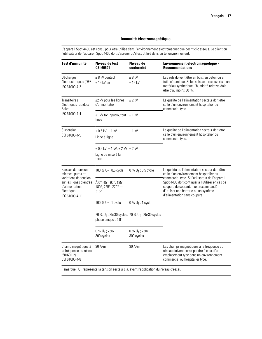### **Immunité électromagnétique**

L'appareil Spot 4400 est conçu pour être utilisé dans l'environnement électromagnétique décrit ci-dessous. Le client ou l'utilisateur de l'appareil Spot 4400 doit s'assurer qu'il est utilisé dans un tel environnement.

| <b>Test d'immunité</b>                                                                                                                        | Niveau de test<br><b>CEI 60601</b>                                             | Niveau de<br>conformité                                                | Environnement électromagnétique -<br><b>Recommandations</b>                                                                                                                                                          |
|-----------------------------------------------------------------------------------------------------------------------------------------------|--------------------------------------------------------------------------------|------------------------------------------------------------------------|----------------------------------------------------------------------------------------------------------------------------------------------------------------------------------------------------------------------|
| Décharges<br>électrostatiques (DES)<br>IEC 61000-4-2                                                                                          | $\pm$ 8 kV contact<br>$± 15$ kV air                                            | $± 8$ kV<br>$± 15$ kV                                                  | Les sols doivent être en bois, en béton ou en<br>tuile céramique. Si les sols sont recouverts d'un<br>matériau synthétique, l'humidité relative doit<br>être d'au moins 30 %.                                        |
| <b>Transitoires</b><br>électriques rapides/<br>Salve                                                                                          | ±2 kV pour les lignes<br>d'alimentation                                        | $± 2$ kV                                                               | La qualité de l'alimentation secteur doit être<br>celle d'un environnement hospitalier ou<br>commercial type.                                                                                                        |
| IEC 61000-4-4                                                                                                                                 | $\pm$ 1 kV for input/output $\pm$ 1 kV<br>lines                                |                                                                        |                                                                                                                                                                                                                      |
| Surtension<br>CEI 61000-4-5                                                                                                                   | $\pm$ 0,5 kV, $\pm$ 1 kV<br>Ligne à ligne                                      | $±1$ kV                                                                | La qualité de l'alimentation secteur doit être<br>celle d'un environnement hospitalier ou<br>commercial type.                                                                                                        |
|                                                                                                                                               | $\pm$ 0,5 kV, $\pm$ 1 kV, $\pm$ 2 kV $\pm$ 2 kV<br>Ligne de mise à la<br>terre |                                                                        |                                                                                                                                                                                                                      |
| Baisses de tension,<br>microcoupures et<br>variations de tension<br>sur les lignes d'entrée<br>d'alimentation<br>électrique<br>IEC 61000-4-11 | 100 % $U_T$ ; 0,5 cycle                                                        | 0 % $U_T$ ; 0,5 cycle                                                  | La qualité de l'alimentation secteur doit être<br>celle d'un environnement hospitalier ou                                                                                                                            |
|                                                                                                                                               | À 0°, 45°, 90°, 135°,<br>180°, 225°, 270° et<br>$315^\circ$                    |                                                                        | commercial type. Si l'utilisateur de l'appareil<br>Spot 4400 doit continuer à l'utiliser en cas de<br>coupure de courant, il est recommandé<br>d'utiliser une batterie ou un système<br>d'alimentation sans coupure. |
|                                                                                                                                               | 100 % $U_T$ ; 1 cycle                                                          | $0 \% U_T$ ; 1 cycle                                                   |                                                                                                                                                                                                                      |
|                                                                                                                                               | phase unique : à 0°                                                            | 70 % U <sub>T</sub> ; 25/30 cycles, 70 % U <sub>T</sub> ; 25/30 cycles |                                                                                                                                                                                                                      |
|                                                                                                                                               | $0 \% U_T$ ; 250/<br>300 cycles                                                | $0 \% U_T$ ; 250/<br>300 cycles                                        |                                                                                                                                                                                                                      |
| Champ magnétique à<br>la fréquence du réseau<br>(50/60 Hz)<br>CEI 61000-4-8                                                                   | 30 A/m                                                                         | 30 A/m                                                                 | Les champs magnétiques à la fréquence du<br>réseau doivent correspondre à ceux d'un<br>emplacement type dans un environnement<br>commercial ou hospitalier type.                                                     |

Remarque : U<sub>T</sub> représente la tension secteur c.a. avant l'application du niveau d'essai.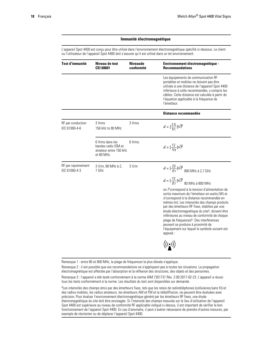### **Immunité électromagnétique**

L'appareil Spot 4400 est conçu pour être utilisé dans l'environnement électromagnétique spécifié ci-dessous. Le client ou l'utilisateur de l'appareil Spot 4400 doit s'assurer qu'il est utilisé dans un tel environnement.

| Test d'immunité                     | Niveau de test<br><b>CEI 60601</b>                                            | <b>Niveaude</b><br>conformité | Environnement électromagnétique -<br><b>Recommandations</b>                                                                                                                                                                                                                                                                                                                                                                                                                                                              |
|-------------------------------------|-------------------------------------------------------------------------------|-------------------------------|--------------------------------------------------------------------------------------------------------------------------------------------------------------------------------------------------------------------------------------------------------------------------------------------------------------------------------------------------------------------------------------------------------------------------------------------------------------------------------------------------------------------------|
|                                     |                                                                               |                               | Les équipements de communication RF<br>portables et mobiles ne doivent pas être<br>utilisés à une distance de l'appareil Spot 4400<br>inférieure à celle recommandée, y compris les<br>câbles. Cette distance est calculée à partir de<br>l'équation applicable à la fréquence de<br>l'émetteur.                                                                                                                                                                                                                         |
|                                     |                                                                               |                               | Distance recommandée                                                                                                                                                                                                                                                                                                                                                                                                                                                                                                     |
| RF par conduction<br>IEC 61000-4-6  | 3 Vrms<br>150 kHz to 80 MHz                                                   | 3 Vrms                        | $d = [\frac{3.5}{V_1}] \sqrt{P}$                                                                                                                                                                                                                                                                                                                                                                                                                                                                                         |
|                                     | 6 Vrms dans les<br>bandes radio ISM et<br>amateur entre 150 kHz<br>et 80 MHz. | 6 Vrms.                       | $d = \left[\frac{12}{\sqrt{2}}\right] \sqrt{P}$                                                                                                                                                                                                                                                                                                                                                                                                                                                                          |
| RF par rayonnement<br>IEC 61000-4-3 | 3 V/m, 80 MHz à 2,<br>7 GHz                                                   | 3 V/m                         | $d = [\frac{23}{E1}]\sqrt{P} \  \, {\rm 800 \; MHz \; \grave{a} \; 2.7 \; GHz}$                                                                                                                                                                                                                                                                                                                                                                                                                                          |
|                                     |                                                                               |                               | $d=[\frac{12}{E1}]{\sqrt{P}} \; \textrm{80 MHz} \; \textrm{\AA} \; \textrm{800 MHz}$                                                                                                                                                                                                                                                                                                                                                                                                                                     |
|                                     |                                                                               |                               | où P correspond à la tension d'alimentation de<br>sortie maximum de l'émetteur en watts (W) et<br>d correspond à la distance recommandée en<br>mètres (m). Les intensités des champs produits<br>par des émetteurs RF fixes, établies par une<br>étude électromagnétique du site <sup>a</sup> , doivent être<br>inférieures au niveau de conformité de chaque<br>plage de fréquences <sup>b</sup> . Des interférences<br>peuvent se produire à proximité de<br>l'équipement sur lequel le symbole suivant est<br>apposé: |
|                                     |                                                                               |                               | $\bigl((\underline{\bullet})\bigr)$                                                                                                                                                                                                                                                                                                                                                                                                                                                                                      |

Remarque 1 : entre 80 et 800 MHz, la plage de fréquences la plus élevée s'applique.

Remarque 2 : il est possible que ces recommandations ne s'appliquent pas à toutes les situations. La propagation électromagnétique est affectée par l'absorption et la réflexion des structures, des objets et des personnes.

Remarque 3 : l'appareil a été testé conformément à la norme AIM 7351731 Rév. 2.00:2017-02-23. L'appareil a réussi tous les tests conformément à la norme. Les résultats du test sont disponibles sur demande.

aLes intensités des champs émis par des émetteurs fixes, tels que les relais de radiotéléphones (cellulaires/sans fil) et des radios mobiles, les radios amateurs, les émetteurs AM et FM et la télédiffusion, ne peuvent être évaluées avec précision. Pour évaluer l'environnement électromagnétique généré par les émetteurs RF fixes, une étude électromagnétique du site doit être envisagée. Si l'intensité des champs mesurée sur le lieu d'utilisation de l'appareil Spot 4400 est supérieure au niveau de conformité RF applicable indiqué ci-dessus, il est important de vérifier le bon fonctionnement de l'appareil Spot 4400. En cas d'anomalie, il peut s'avérer nécessaire de prendre d'autres mesures, par exemple de réorienter ou de déplacer l'appareil Spot 4400.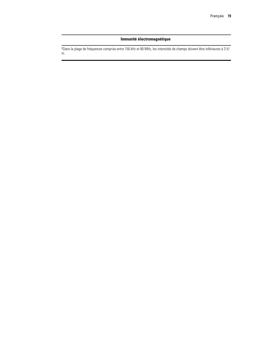### **Immunité électromagnétique**

bDans la plage de fréquences comprise entre 150 kHz et 80 MHz, les intensités de champs doivent être inférieures à 3 V/ m.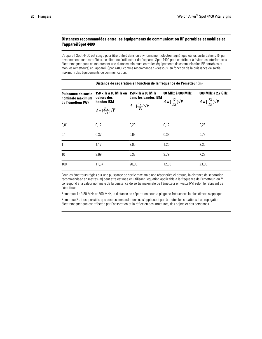### **Distances recommandées entre les équipements de communication RF portables et mobiles et l'appareilSpot 4400**

L'appareil Spot 4400 est conçu pour être utilisé dans un environnement électromagnétique où les perturbations RF par rayonnement sont contrôlées. Le client ou l'utilisateur de l'appareil Spot 4400 peut contribuer à éviter les interférences électromagnétiques en maintenant une distance minimum entre les équipements de communication RF portables et mobiles (émetteurs) et l'appareil Spot 4400, comme recommandé ci-dessous, en fonction de la puissance de sortie maximum des équipements de communication.

|                                                                     | Distance de séparation en fonction de la fréquence de l'émetteur (m)                       |                                                                                       |                                                    |                                                                 |  |  |
|---------------------------------------------------------------------|--------------------------------------------------------------------------------------------|---------------------------------------------------------------------------------------|----------------------------------------------------|-----------------------------------------------------------------|--|--|
| <b>Puissance de sortie</b><br>nominale maximum<br>de l'émetteur (W) | 150 kHz à 80 MHz en<br>dehors des<br><b>bandes ISM</b><br>$d = [\frac{3.5}{V_1}] \sqrt{P}$ | 150 kHz à 80 MHz<br>dans les bandes ISM<br>$d = \left[\frac{12}{V_2}\right] \sqrt{P}$ | 80 MHz à 800 MHz<br>$d = [\frac{12}{F_1}]\sqrt{P}$ | 800 MHz à 2,7 GHz<br>$d = \left[\frac{23}{F_1}\right] \sqrt{P}$ |  |  |
| 0,01                                                                | 0.12                                                                                       | 0,20                                                                                  | 0,12                                               | 0,23                                                            |  |  |
| 0.1                                                                 | 0,37                                                                                       | 0,63                                                                                  | 0,38                                               | 0,73                                                            |  |  |
| $\overline{1}$                                                      | 1,17                                                                                       | 2,00                                                                                  | 1,20                                               | 2,30                                                            |  |  |
| 10                                                                  | 3,69                                                                                       | 6,32                                                                                  | 3,79                                               | 7,27                                                            |  |  |
| 100                                                                 | 11,67                                                                                      | 20,00                                                                                 | 12,00                                              | 23,00                                                           |  |  |

Pour les émetteurs réglés sur une puissance de sortie maximale non répertoriée ci-dessus, la distance de séparation recommandée*d* en mètres (m) peut être estimée en utilisant l'équation applicable à la fréquence de l'émetteur, où *P* correspond à la valeur nominale de la puissance de sortie maximale de l'émetteur en watts (W) selon le fabricant de l'émetteur.

Remarque 1 : à 80 MHz et 800 MHz, la distance de séparation pour la plage de fréquences la plus élevée s'applique.

Remarque 2 : il est possible que ces recommandations ne s'appliquent pas à toutes les situations. La propagation électromagnétique est affectée par l'absorption et la réflexion des structures, des objets et des personnes.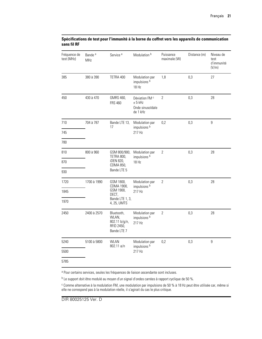| Fréquence de<br>test (MHz) | Bande <sup>a</sup><br>MHz | Service <sup>a</sup>                                                         | Modulation <sup>b</sup>                                                | Puissance<br>maximale (W) | Distance (m) | Niveau de<br>test<br>d'immunité<br>(V/m) |
|----------------------------|---------------------------|------------------------------------------------------------------------------|------------------------------------------------------------------------|---------------------------|--------------|------------------------------------------|
| 385                        | 380 à 390                 | TETRA 400                                                                    | Modulation par<br>impulsions b<br>18 Hz                                | 1,8                       | 0,3          | 27                                       |
| 450                        | 430 à 470                 | GMRS 460,<br><b>FRS 460</b>                                                  | Déviation FM <sup>c</sup><br>$± 5$ kHz<br>Onde sinusoïdale<br>de 1 kHz | $\overline{2}$            | 0,3          | 28                                       |
| 710                        | 704 à 787                 | Bande LTE 13,<br>17                                                          | Modulation par<br>impulsions b                                         | 0,2                       | 0,3          | $\overline{9}$                           |
| 745                        |                           |                                                                              | 217 Hz                                                                 |                           |              |                                          |
| 780                        |                           |                                                                              |                                                                        |                           |              |                                          |
| 810                        | 800 à 960                 | GSM 800/900,<br>TETRA 800,                                                   | Modulation par<br>impulsions <sup>b</sup>                              | $\overline{2}$            | 0,3          | 28                                       |
| 870                        |                           | iDEN 820,<br>CDMA 850,<br>Bande LTE 5                                        | 18 Hz                                                                  |                           |              |                                          |
| 930                        |                           |                                                                              |                                                                        |                           |              |                                          |
| 1720                       | 1700 à 1990               | GSM 1800,<br>CDMA 1900,                                                      | Modulation par<br>impulsions <sup>b</sup>                              | $\mathbf{2}$              | 0,3          | 28                                       |
| 1845                       |                           | GSM 1900,<br>DECT,                                                           | 217 Hz                                                                 |                           |              |                                          |
| 1970                       |                           | Bande LTE 1, 3,<br>4, 25, UMTS                                               |                                                                        |                           |              |                                          |
| 2450                       | 2400 à 2570               | Bluetooth,<br>WLAN,<br>802.11 b/g/n,<br>RFID 2450,<br>Bande LTE <sub>7</sub> | Modulation par<br>impulsions b<br>217 Hz                               | $\overline{2}$            | 0,3          | 28                                       |
| 5240                       | 5100 à 5800               | <b>WLAN</b><br>802.11 a/n                                                    | Modulation par<br>impulsions <sup>b</sup>                              | 0,2                       | 0,3          | 9                                        |
| 5500                       |                           |                                                                              | 217 Hz                                                                 |                           |              |                                          |
| 5785                       |                           |                                                                              |                                                                        |                           |              |                                          |

### **Spécifications de test pour l'immunité à la borne du coffret vers les appareils de communication sans fil RF**

<sup>a</sup> Pour certains services, seules les fréquences de liaison ascendante sont incluses.

<sup>b</sup> Le support doit être modulé au moyen d'un signal d'ondes carrées à rapport cyclique de 50 %.

<sup>c</sup> Comme alternative à la modulation FM, une modulation par impulsions de 50 % à 18 Hz peut être utilisée car, même si elle ne correspond pas à la modulation réelle, il s'agirait du cas le plus critique.

DIR 80025125 Ver. D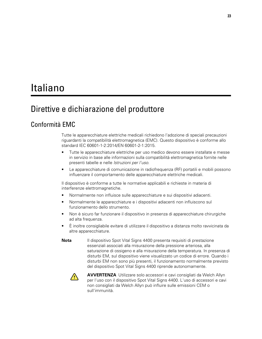# <span id="page-26-0"></span>Italiano

## Direttive e dichiarazione del produttore

### Conformità EMC

Tutte le apparecchiature elettriche medicali richiedono l'adozione di speciali precauzioni riguardanti la compatibilità elettromagnetica (EMC). Questo dispositivo è conforme allo standard IEC 60601-1-2:2014/EN 60601-2-1:2015.

- Tutte le apparecchiature elettriche per uso medico devono essere installate e messe in servizio in base alle informazioni sulla compatibilità elettromagnetica fornite nelle presenti tabelle e nelle *Istruzioni per l'uso*.
- Le apparecchiature di comunicazione in radiofrequenza (RF) portatili e mobili possono influenzare il comportamento delle apparecchiature elettriche medicali.

Il dispositivo è conforme a tutte le normative applicabili e richieste in materia di interferenze elettromagnetiche.

- Normalmente non influisce sulle apparecchiature e sui dispositivi adiacenti.
- Normalmente le apparecchiature e i dispositivi adiacenti non influiscono sul funzionamento dello strumento.
- Non è sicuro far funzionare il dispositivo in presenza di apparecchiature chirurgiche ad alta frequenza.
- È inoltre consigliabile evitare di utilizzare il dispositivo a distanza molto ravvicinata da altre apparecchiature.
- **Nota** Il dispositivo Spot Vital Signs 4400 presenta requisiti di prestazione essenziali associati alla misurazione della pressione arteriosa, alla saturazione di ossigeno e alla misurazione della temperatura. In presenza di disturbi EM, sul dispositivo viene visualizzato un codice di errore. Quando i disturbi EM non sono più presenti, il funzionamento normalmente previsto del dispositivo Spot Vital Signs 4400 riprende autonomamente.



**AVVERTENZA** Utilizzare solo accessori e cavi consigliati da Welch Allyn per l'uso con il dispositivo Spot Vital Signs 4400. L'uso di accessori e cavi non consigliati da Welch Allyn può influire sulle emissioni CEM o sull'immunità.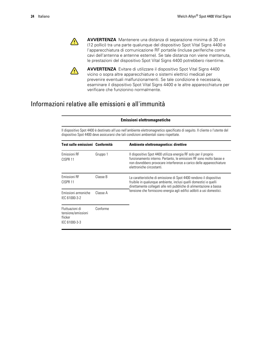

**AVVERTENZA** Mantenere una distanza di separazione minima di 30 cm (12 pollici) tra una parte qualunque del dispositivo Spot Vital Signs 4400 e l'apparecchiatura di comunicazione RF portatile (incluse periferiche come cavi dell'antenna e antenne esterne). Se tale distanza non viene mantenuta, le prestazioni del dispositivo Spot Vital Signs 4400 potrebbero risentirne.



**AVVERTENZA** Evitare di utilizzare il dispositivo Spot Vital Signs 4400 vicino o sopra altre apparecchiature o sistemi elettrici medicali per prevenire eventuali malfunzionamenti. Se tale condizione è necessaria, esaminare il dispositivo Spot Vital Signs 4400 e le altre apparecchiature per verificare che funzionino normalmente.

## Informazioni relative alle emissioni e all'immunità

|                                                                   | <b>Emissioni elettromagnetiche</b>                                                                                                                                                                                       |                                                                                                                                                                                                                                             |  |  |  |
|-------------------------------------------------------------------|--------------------------------------------------------------------------------------------------------------------------------------------------------------------------------------------------------------------------|---------------------------------------------------------------------------------------------------------------------------------------------------------------------------------------------------------------------------------------------|--|--|--|
|                                                                   | Il dispositivo Spot 4400 è destinato all'uso nell'ambiente elettromagnetico specificato di seguito. Il cliente o l'utente del<br>dispositivo Spot 4400 deve assicurarsi che tali condizioni ambientali siano rispettate. |                                                                                                                                                                                                                                             |  |  |  |
| Test sulle emissioni Conformità                                   |                                                                                                                                                                                                                          | Ambiente elettromagnetico: direttive                                                                                                                                                                                                        |  |  |  |
| Emissioni RF<br>CISPR <sub>11</sub>                               | Gruppo 1                                                                                                                                                                                                                 | Il dispositivo Spot 4400 utilizza energia RF solo per il proprio<br>funzionamento interno. Pertanto, le emissioni RF sono molto basse e<br>non dovrebbero provocare interferenze a carico delle apparecchiature<br>elettroniche circostanti |  |  |  |
| Emissioni RF<br>CISPR <sub>11</sub>                               | Classe B                                                                                                                                                                                                                 | Le caratteristiche di emissione di Spot 4400 rendono il dispositivo<br>fruibile in qualunque ambiente, inclusi quelli domestici e quelli<br>direttamente collegati alle reti pubbliche di alimentazione a bassa                             |  |  |  |
| Emissioni armoniche<br>IEC 61000-3-2                              | Classe A                                                                                                                                                                                                                 | tensione che forniscono energia agli edifici adibiti a usi domestici.                                                                                                                                                                       |  |  |  |
| Fluttuazioni di<br>tensione/emissioni<br>flicker<br>IEC 61000-3-3 | Conforme                                                                                                                                                                                                                 |                                                                                                                                                                                                                                             |  |  |  |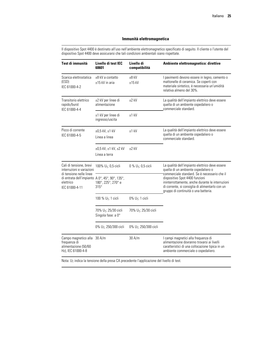### **Immunità elettromagnetica**

Il dispositivo Spot 4400 è destinato all'uso nell'ambiente elettromagnetico specificato di seguito. Il cliente o l'utente del dispositivo Spot 4400 deve assicurarsi che tali condizioni ambientali siano rispettate.

| Test di immunità                                                                                                                                                 | Livello di test IEC<br>60601                           | Livello di<br>compatibilità      | Ambiente elettromagnetico: direttive                                                                                                                                          |  |  |
|------------------------------------------------------------------------------------------------------------------------------------------------------------------|--------------------------------------------------------|----------------------------------|-------------------------------------------------------------------------------------------------------------------------------------------------------------------------------|--|--|
| Scarica elettrostatica<br>(ESD)<br>IEC 61000-4-2                                                                                                                 | ±8 kV a contatto<br>±15 kV in aria                     | $±8$ kV<br>$±15$ kV              | I pavimenti devono essere in legno, cemento o<br>mattonelle di ceramica. Se coperti con<br>materiale sintetico, è necessaria un'umidità<br>relativa almeno del 30%.           |  |  |
| Transitorio elettrico<br>rapido/burst<br>IEC 61000-4-4                                                                                                           | ±2 kV per linee di<br>alimentazione                    | $±2$ kV                          | La qualità dell'impianto elettrico deve essere<br>quella di un ambiente ospedaliero o<br>commerciale standard.                                                                |  |  |
|                                                                                                                                                                  | ±1 kV per linee di<br>ingresso/uscita                  | $±1$ kV                          |                                                                                                                                                                               |  |  |
| Picco di corrente<br>IEC 61000-4-5                                                                                                                               | ±0,5 kV, ±1 kV<br>Linea a linea                        | $±1$ kV                          | La qualità dell'impianto elettrico deve essere<br>quella di un ambiente ospedaliero o<br>commerciale standard.                                                                |  |  |
|                                                                                                                                                                  | ±0,5 kV, ±1 kV, ±2 kV<br>Linea a terra                 | $±2$ kV                          |                                                                                                                                                                               |  |  |
| Cali di tensione, brevi<br>interruzioni e variazioni<br>di tensione nelle linee<br>di entrata dell'impianto A 0°, 45°, 90°, 135°,<br>elettrico<br>IEC 61000-4-11 | 100% $U_T$ ; 0,5 cicli                                 | 0 % $U_T$ ; 0,5 cicli            | La qualità dell'impianto elettrico deve essere<br>quella di un ambiente ospedaliero o<br>commerciale standard. Se è necessario che il                                         |  |  |
|                                                                                                                                                                  | 180°, 225°, 270° e<br>$315^\circ$                      |                                  | dispositivo Spot 4400 funzioni<br>ininterrottamente, anche durante le interruzioni<br>di corrente, si consiglia di alimentarlo con un<br>gruppo di continuità o una batteria. |  |  |
|                                                                                                                                                                  | 100 % U <sub>T</sub> ; 1 cicli                         | $0\%$ U <sub>T</sub> ; 1 cicli   |                                                                                                                                                                               |  |  |
|                                                                                                                                                                  | 70% U <sub>T</sub> ; 25/30 cicli<br>Singola fase: a 0° | 70% U <sub>T</sub> ; 25/30 cicli |                                                                                                                                                                               |  |  |
|                                                                                                                                                                  | 0% $U_T$ ; 250/300 cicli                               | 0% $U_T$ ; 250/300 cicli         |                                                                                                                                                                               |  |  |
| Campo magnetico alla 30 A/m<br>frequenza di<br>alimentazione (50/60<br>Hz), IEC 61000-4-8                                                                        |                                                        | 30 A/m                           | I campi magnetici alla frequenza di<br>alimentazione dovranno trovarsi ai livelli<br>caratteristici di una collocazione tipica in un<br>ambiente commerciale o ospedaliero.   |  |  |

Nota: U<sub>T</sub> indica la tensione della presa CA precedente l'applicazione del livello di test.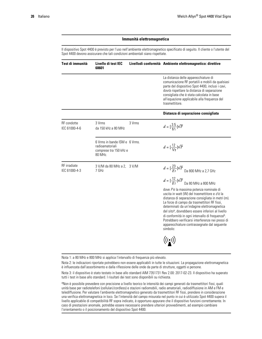### **Immunità elettromagnetica**

Il dispositivo Spot 4400 è previsto per l'uso nell'ambiente elettromagnetico specificato di seguito. Il cliente o l'utente del Spot 4400 devono assicurare che tali condizioni ambientali siano rispettate.

| Test di immunità                    | Livello di test IEC<br>60601                                                          |        | Livellodi conformità Ambiente elettromagnetico: direttive                                                                                                                                                                                                                                                                                                                                                                                                                                    |
|-------------------------------------|---------------------------------------------------------------------------------------|--------|----------------------------------------------------------------------------------------------------------------------------------------------------------------------------------------------------------------------------------------------------------------------------------------------------------------------------------------------------------------------------------------------------------------------------------------------------------------------------------------------|
|                                     |                                                                                       |        | La distanza delle apparecchiature di<br>comunicazione RF portatili e mobili da qualsiasi<br>parte del dispositivo Spot 4400, inclusi i cavi,<br>dovrà rispettare la distanza di separazione<br>consigliata che è stata calcolata in base<br>all'equazione applicabile alla frequenza del<br>trasmettitore.                                                                                                                                                                                   |
|                                     |                                                                                       |        | Distanza di separazione consigliata                                                                                                                                                                                                                                                                                                                                                                                                                                                          |
| <b>RF</b> condotte<br>IEC 61000-4-6 | 3 Vrms<br>da 150 kHz a 80 MHz                                                         | 3 Vrms | $d = [\frac{3.5}{V_1}]\sqrt{P}$                                                                                                                                                                                                                                                                                                                                                                                                                                                              |
|                                     | 6 Vrms in bande ISM e 6 Vrms.<br>radioamatoriali<br>comprese tra 150 kHz e<br>80 MHz. |        | $d = [\frac{12}{V_2}]\sqrt{P}$                                                                                                                                                                                                                                                                                                                                                                                                                                                               |
| RF irradiate<br>IEC 61000-4-3       | 3 V/M da 80 MHz a 2, 3 V/M<br>7 GHz                                                   |        | $d=[\frac{23}{E1}]\sqrt{P}$ Da 800 MHz a 2,7 GHz<br>$d=[\frac{12}{E1}]\sqrt{P}$ Da 80 MHz a 800 MHz                                                                                                                                                                                                                                                                                                                                                                                          |
|                                     |                                                                                       |        | dove Pè la massima potenza nominale di<br>uscita in watt (W) del trasmettitore e dè la<br>distanza di separazione consigliata in metri (m).<br>Le forze di campo da trasmettitori RF fissi,<br>determinati da un'indagine elettromagnetica<br>del sito <sup>a</sup> , dovrebbero essere inferiori al livello<br>di conformità in ogni intervallo di frequenza <sup>b</sup> .<br>Potrebbero verificarsi interferenze nei pressi di<br>apparecchiature contrassegnate dal seguente<br>simbolo: |
|                                     |                                                                                       |        | $\big((\begin{smallmatrix}\bullet\end{smallmatrix})\big)$                                                                                                                                                                                                                                                                                                                                                                                                                                    |

Nota 1: a 80 MHz e 800 MHz si applica l'intervallo di frequenza più elevato.

Nota 2: le indicazioni riportate potrebbero non essere applicabili in tutte le situazioni. La propagazione elettromagnetica è influenzata dall'assorbimento e dalla riflessione delle onde da parte di strutture, oggetti e persone.

Nota 3: il dispositivo è stato testato in base allo standard AIM 7351731 Rev 2.00: 2017-02-23. Il dispositivo ha superato tutti i test in base allo standard. I risultati dei test sono disponibili su richiesta.

<sup>a</sup>Non è possibile prevedere con precisione a livello teorico le intensità dei campi generati da trasmettitori fissi, quali unità base per radiotelefoni (cellulari/cordless) e stazioni radiomobili, radio amatoriali, radiodiffusione in AM e FM e telediffusione. Per valutare l'ambiente elettromagnetico generato da trasmettitori RF fissi, prendere in considerazione una verifica elettromagnetica in loco. Se l'intensità del campo misurata nel punto in cui è utilizzato Spot 4400 supera il livello applicabile di compatibilità RF sopra indicato, è opportuno appurare che il dispositivo funzioni correttamente. In caso di prestazioni anomale, potrebbe essere necessario prendere ulteriori provvedimenti, ad esempio cambiare l'orientamento o il posizionamento del dispositivo Spot 4400.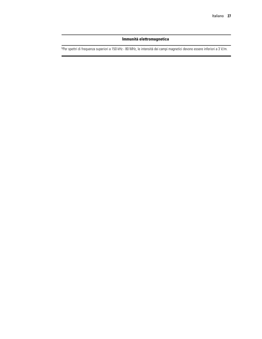### **Immunità elettromagnetica**

b Per spettri di frequenza superiori a 150 kHz - 80 MHz, le intensità dei campi magnetici devono essere inferiori a 3 V/m.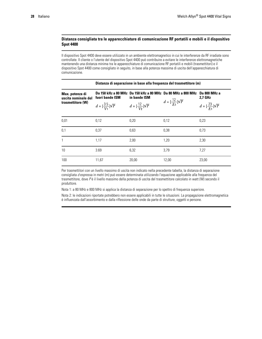### **Distanza consigliata tra le apparecchiature di comunicazione RF portatili e mobili e il dispositivo Spot 4400**

Il dispositivo Spot 4400 deve essere utilizzato in un ambiente elettromagnetico in cui le interferenze da RF irradiate sono controllate. Il cliente o l'utente del dispositivo Spot 4400 può contribuire a evitare le interferenze elettromagnetiche mantenendo una distanza minima tra le apparecchiature di comunicazione RF portatili e mobili (trasmettitori) e il dispositivo Spot 4400 come consigliato in seguito, in base alla potenza massima di uscita dell'apparecchiatura di comunicazione.

| Max. potenza di<br>uscita nominale del<br>trasmettitore (W) | fuori bande ISM                            | in bande ISM                   | Da 150 kHz a 80 MHz Da 150 kHz a 80 MHz Da 80 MHz a 800 MHz | Da 800 MHz a<br>2,7 GHz                    |
|-------------------------------------------------------------|--------------------------------------------|--------------------------------|-------------------------------------------------------------|--------------------------------------------|
|                                                             | $d = \left[\frac{35}{V_1}\right] \sqrt{P}$ | $d = [\frac{12}{V_2}]\sqrt{P}$ | $d = \left[\frac{12}{E_1}\right] \sqrt{P}$                  | $d = \left[\frac{23}{E_1}\right] \sqrt{P}$ |
| 0,01                                                        | 0.12                                       | 0.20                           | 0,12                                                        | 0,23                                       |
| 0,1                                                         | 0,37                                       | 0,63                           | 0,38                                                        | 0,73                                       |
| $\mathbf{1}$                                                | 1,17                                       | 2,00                           | 1,20                                                        | 2,30                                       |
| 10                                                          | 3.69                                       | 6,32                           | 3,79                                                        | 7,27                                       |
| 100                                                         | 11,67                                      | 20,00                          | 12,00                                                       | 23,00                                      |

**Distanza di separazione in base alla frequenza del trasmettitore (m)**

Per trasmettitori con un livello massimo di uscita non indicato nella precedente tabella, la distanza di separazione consigliata *d* espressa in metri (m) può essere determinata utilizzando l'equazione applicabile alla frequenza del trasmettitore, dove *P* è il livello massimo della potenza di uscita del trasmettitore calcolato in watt (W) secondo il produttore.

Nota 1: a 80 MHz e 800 MHz si applica la distanza di separazione per lo spettro di frequenza superiore.

Nota 2: le indicazioni riportate potrebbero non essere applicabili in tutte le situazioni. La propagazione elettromagnetica è influenzata dall'assorbimento e dalla riflessione delle onde da parte di strutture, oggetti e persone.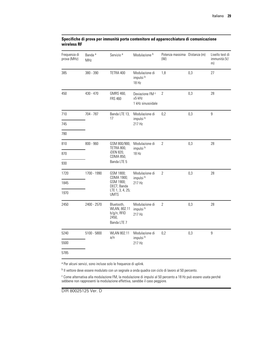| Frequenza di<br>prova (MHz) | Banda <sup>a</sup><br>MHz | Servizio <sup>a</sup>                                                        | Modulazione <sup>b</sup>                                    | Potenza massima Distanza (m)<br>(W) |     | Livello test di<br>immunità (V/<br>m) |
|-----------------------------|---------------------------|------------------------------------------------------------------------------|-------------------------------------------------------------|-------------------------------------|-----|---------------------------------------|
| 385                         | 380 - 390                 | TETRA 400                                                                    | Modulazione di<br>impulsi b<br>18 Hz                        | 1,8                                 | 0,3 | 27                                    |
| 450                         | 430 - 470                 | GMRS 460,<br><b>FRS 460</b>                                                  | Deviazione FM <sup>c</sup><br>$±5$ kHz<br>1 kHz sinusoidale | $\overline{2}$                      | 0,3 | 28                                    |
| 710                         | 704 - 787                 | Banda LTE 13,<br>17                                                          | Modulazione di<br>impulsi b                                 | 0,2                                 | 0,3 | $\overline{9}$                        |
| 745                         |                           |                                                                              | 217 Hz                                                      |                                     |     |                                       |
| 780                         |                           |                                                                              |                                                             |                                     |     |                                       |
| 810                         | $800 - 960$               | GSM 800/900,<br>TETRA 800,                                                   | Modulazione di<br>impulsi b                                 | $\overline{2}$                      | 0,3 | 28                                    |
| 870                         |                           | iDEN 820,<br>18 Hz<br>CDMA 850,<br>Banda LTE 5                               |                                                             |                                     |     |                                       |
| 930                         |                           |                                                                              |                                                             |                                     |     |                                       |
| 1720                        | 1700 - 1990               | GSM 1800;<br>CDMA 1900;                                                      | Modulazione di<br>impulsi b                                 | $\overline{2}$                      | 0,3 | 28                                    |
| 1845                        |                           | GSM 1900;<br>DECT; Banda                                                     | 217 Hz                                                      |                                     |     |                                       |
| 1970                        |                           | LTE 1, 3, 4, 25;<br><b>UMTS</b>                                              |                                                             |                                     |     |                                       |
| 2450                        | 2400 - 2570               | Bluetooth,<br>WLAN, 802.11<br>b/g/n, RFID<br>2450,<br>Banda LTE <sub>7</sub> | Modulazione di<br>impulsi <sup>b</sup><br>217 Hz            | $\overline{2}$                      | 0,3 | 28                                    |
| 5240                        | $5100 - 5800$             | WLAN 802.11<br>a/n                                                           | Modulazione di<br>impulsi b                                 | 0,2                                 | 0,3 | 9                                     |
| 5500                        |                           |                                                                              | 217 Hz                                                      |                                     |     |                                       |
| 5785                        |                           |                                                                              |                                                             |                                     |     |                                       |

### **Specifiche di prova per immunità porta contenitore ad apparecchiatura di comunicazione wireless RF**

<sup>a</sup> Per alcuni servizi, sono incluse solo le frequenze di uplink.

<sup>b</sup> Il vettore deve essere modulato con un segnale a onda quadra con ciclo di lavoro al 50 percento.

<sup>c</sup> Come alternativa alla modulazione FM, la modulazione di impulsi al 50 percento a 18 Hz può essere usata perché sebbene non rappresenti la modulazione effettiva, sarebbe il caso peggiore.

DIR 80025125 Ver. D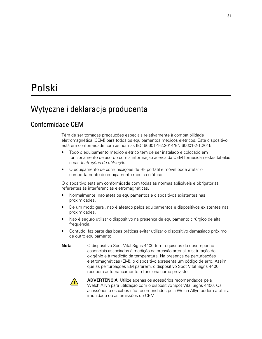# <span id="page-34-0"></span>Polski

# Wytyczne i deklaracja producenta

## Conformidade CEM

Têm de ser tomadas precauções especiais relativamente à compatibilidade eletromagnética (CEM) para todos os equipamentos médicos elétricos. Este dispositivo está em conformidade com as normas IEC 60601-1-2:2014/EN 60601-2-1:2015.

- Todo o equipamento médico elétrico tem de ser instalado e colocado em funcionamento de acordo com a informação acerca da CEM fornecida nestas tabelas e nas *Instruções de utilização*.
- O equipamento de comunicações de RF portátil e móvel pode afetar o comportamento do equipamento médico elétrico.

O dispositivo está em conformidade com todas as normas aplicáveis e obrigatórias referentes às interferências eletromagnéticas.

- Normalmente, não afeta os equipamentos e dispositivos existentes nas proximidades.
- De um modo geral, não é afetado pelos equipamentos e dispositivos existentes nas proximidades.
- Não é seguro utilizar o dispositivo na presença de equipamento cirúrgico de alta frequência.
- Contudo, faz parte das boas práticas evitar utilizar o dispositivo demasiado próximo de outro equipamento.
- **Nota** O dispositivo Spot Vital Signs 4400 tem requisitos de desempenho essenciais associados à medição da pressão arterial, à saturação de oxigénio e à medição da temperatura. Na presença de perturbações eletromagnéticas (EM), o dispositivo apresenta um código de erro. Assim que as perturbações EM pararem, o dispositivo Spot Vital Signs 4400 recupera automaticamente e funciona como previsto.



**ADVERTÊNCIA** Utilize apenas os acessórios recomendados pela Welch Allyn para utilização com o dispositivo Spot Vital Signs 4400. Os acessórios e os cabos não recomendados pela Welch Allyn podem afetar a imunidade ou as emissões de CEM.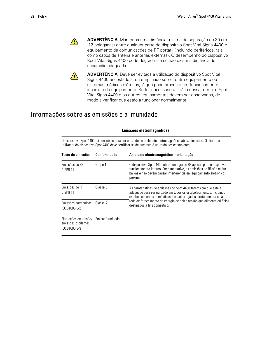$\sqrt{N}$ 

**ADVERTÊNCIA** Mantenha uma distância mínima de separação de 30 cm (12 polegadas) entre qualquer parte do dispositivo Spot Vital Signs 4400 e equipamento de comunicações de RF portátil (incluindo periféricos, tais como cabos de antena e antenas externas). O desempenho do dispositivo Spot Vital Signs 4400 pode degradar-se se não existir a distância de separação adequada.



**ADVERTÊNCIA** Deve ser evitada a utilização do dispositivo Spot Vital Signs 4400 encostado a, ou empilhado sobre, outro equipamento ou sistemas médicos elétricos, já que pode provocar um funcionamento incorreto do equipamento. Se for necessário utilizá-lo dessa forma, o Spot Vital Signs 4400 e os outros equipamentos devem ser observados, de modo a verificar que estão a funcionar normalmente.

## Informações sobre as emissões e a imunidade

|                                                                                                                                                                                                                      |                     | Emissões eletromagnéticas                                                                                                                                                                                                     |  |  |
|----------------------------------------------------------------------------------------------------------------------------------------------------------------------------------------------------------------------|---------------------|-------------------------------------------------------------------------------------------------------------------------------------------------------------------------------------------------------------------------------|--|--|
| O dispositivo Spot 4400 foi concebido para ser utilizado no ambiente eletromagnético abaixo indicado. O cliente ou<br>utilizador do dispositivo Spot 4400 deve certificar-se de que este é utilizado nesse ambiente. |                     |                                                                                                                                                                                                                               |  |  |
| Teste de emissões                                                                                                                                                                                                    | <b>Conformidade</b> | Ambiente electromagnético - orientação                                                                                                                                                                                        |  |  |
| Emissões de RF<br>CISPR <sub>11</sub>                                                                                                                                                                                | Grupo 1             | O dispositivo Spot 4400 utiliza energia de RF apenas para o respetivo<br>funcionamento interno. Por este motivo, as emissões de RF são muito<br>baixas e não devem causar interferência em equipamento eletrónico<br>próximo. |  |  |
| Emissões de RF<br>CISPR <sub>11</sub>                                                                                                                                                                                | Classe B            | As caraterísticas de emissões do Spot 4400 fazem com que esteja<br>adequado para ser utilizado em todos os estabelecimentos, incluindo<br>estabelecimentos domésticos e aqueles ligados diretamente a uma                     |  |  |
| Emissões harmónicas<br>IEC 61000-3-2                                                                                                                                                                                 | Classe A            | rede de fornecimento de energia de baixa tensão que alimenta edifícios<br>destinados a fins domésticos                                                                                                                        |  |  |
| Flutuações de tensão/ Em conformidade<br>emissões oscilantes<br>IEC 61000-3-3                                                                                                                                        |                     |                                                                                                                                                                                                                               |  |  |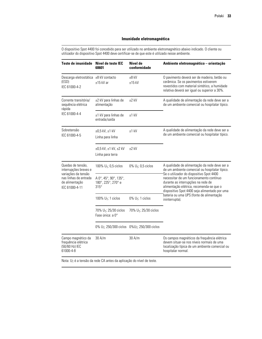O dispositivo Spot 4400 foi concebido para ser utilizado no ambiente eletromagnético abaixo indicado. O cliente ou utilizador do dispositivo Spot 4400 deve certificar-se de que este é utilizado nesse ambiente.

| Teste de imunidade                                                               | Nível de teste IEC<br>60601                                           | Nível de<br>conformidade          | Ambiente eletromagnético - orientação                                                                                                                                                                                  |  |  |
|----------------------------------------------------------------------------------|-----------------------------------------------------------------------|-----------------------------------|------------------------------------------------------------------------------------------------------------------------------------------------------------------------------------------------------------------------|--|--|
| Descarga eletrostática ±8 kV contacto<br>(ESD)<br>IEC 61000-4-2                  | $±15$ kV ar                                                           | $±8$ kV<br>$±15$ kV               | O pavimento deverá ser de madeira, betão ou<br>cerâmica. Se os pavimentos estiverem<br>revestidos com material sintético, a humidade<br>relativa deverá ser igual ou superior a 30%.                                   |  |  |
| Corrente transitória/<br>sequência elétrica<br>rápida                            | ±2 kV para linhas de<br>alimentação                                   | $±2$ kV                           | A qualidade de alimentação da rede deve ser a<br>de um ambiente comercial ou hospitalar típico.                                                                                                                        |  |  |
| IEC 61000-4-4                                                                    | ±1 kV para linhas de<br>entrada/saída                                 | $±1$ kV                           |                                                                                                                                                                                                                        |  |  |
| Sobretensão<br>IEC 61000-4-5                                                     | ±0,5 kV, ±1 kV<br>Linha para linha                                    | $±1$ kV                           | A qualidade de alimentação da rede deve ser a<br>de um ambiente comercial ou hospitalar típico.                                                                                                                        |  |  |
|                                                                                  | ±0,5 kV, ±1 kV, ±2 kV<br>Linha para terra                             | $±2$ kV                           |                                                                                                                                                                                                                        |  |  |
| Quedas de tensão,<br>interrupções breves e                                       | 100% $U_T$ ; 0,5 ciclos                                               | 0% $U_T$ ; 0,5 ciclos             | A qualidade de alimentação da rede deve ser a<br>de um ambiente comercial ou hospitalar típico.                                                                                                                        |  |  |
| variações da tensão<br>nas linhas de entrada<br>de alimentação<br>IEC 61000-4-11 | A 0°, 45°, 90°, 135°,<br>180°, 225°, 270° e<br>$315^\circ$            |                                   | Se o utilizador do dispositivo Spot 4400<br>necessitar de um funcionamento contínuo<br>durante as interrupções na rede de<br>alimentação elétrica, recomenda-se que o<br>dispositivo Spot 4400 seja alimentado por uma |  |  |
|                                                                                  | 100% $U_T$ ; 1 ciclos                                                 | $0\%$ U <sub>T</sub> ; 1 ciclos   | bateria ou uma UPS (fonte de alimentação<br>ininterrupta).                                                                                                                                                             |  |  |
|                                                                                  | 70% U <sub>T</sub> ; 25/30 ciclos<br>Fase única: a 0°                 | 70% U <sub>T</sub> ; 25/30 ciclos |                                                                                                                                                                                                                        |  |  |
|                                                                                  | 0% U <sub>T</sub> ; 250/300 ciclos 0% U <sub>T</sub> ; 250/300 ciclos |                                   |                                                                                                                                                                                                                        |  |  |
| Campo magnético da<br>frequência elétrica<br>(50/60 Hz) IEC<br>61000-4-8         | 30 A/m                                                                | 30 A/m                            | Os campos magnéticos da frequência elétrica<br>devem situar-se nos níveis normais de uma<br>localização típica de um ambiente comercial ou<br>hospitalar normal.                                                       |  |  |

Nota: U<sub>T</sub> é a tensão da rede CA antes da aplicação do nível de teste.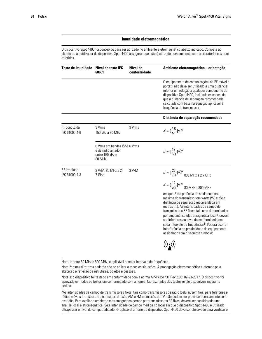O dispositivo Spot 4400 foi concebido para ser utilizado no ambiente eletromagnético abaixo indicado. Compete ao cliente ou ao utilizador do dispositivo Spot 4400 assegurar que este é utilizado num ambiente com as caraterísticas aqui referidas.

| Teste de imunidade            | Nível de teste IEC<br>60601                                                    | Nível de<br>conformidade | Ambiente eletromagnético - orientação                                                                                                                                                                                                                                                                                                                                                                                                                                                    |
|-------------------------------|--------------------------------------------------------------------------------|--------------------------|------------------------------------------------------------------------------------------------------------------------------------------------------------------------------------------------------------------------------------------------------------------------------------------------------------------------------------------------------------------------------------------------------------------------------------------------------------------------------------------|
|                               |                                                                                |                          | O equipamento de comunicações de RF móvel e<br>portátil não deve ser utilizado a uma distância<br>inferior em relação a qualquer componente do<br>dispositivo Spot 4400, incluindo os cabos, do<br>que a distância de separação recomendada,<br>calculada com base na equação aplicável à<br>frequência do transmissor.                                                                                                                                                                  |
|                               |                                                                                |                          | Distância de separação recomendada                                                                                                                                                                                                                                                                                                                                                                                                                                                       |
| RF conduzida<br>IEC 61000-4-6 | 3 Vrms<br>150 kHz a 80 MHz                                                     | 3 Vrms                   | $d = \left[\frac{3.5}{V_1}\right] \sqrt{P}$                                                                                                                                                                                                                                                                                                                                                                                                                                              |
|                               | 6 Vrms em bandas ISM 6 Vrms<br>e de rádio amador<br>entre 150 kHz e<br>80 MHz. |                          | $d = \left[\frac{12}{V_2}\right] \sqrt{P}$                                                                                                                                                                                                                                                                                                                                                                                                                                               |
| RF irradiada<br>IEC 61000-4-3 | 3 V/M, 80 MHz a 2,<br>7 GHz                                                    | 3 V/M                    | $d = [\frac{23}{E1}]\sqrt{P}$ 800 MHz a 2,7 GHz                                                                                                                                                                                                                                                                                                                                                                                                                                          |
|                               |                                                                                |                          | $d = [\frac{12}{E11}] \sqrt{P} \; \, \mathrm{80 \; MHz \; a \; 800 \; MHz}$                                                                                                                                                                                                                                                                                                                                                                                                              |
|                               |                                                                                |                          | em que Pé a potência de saída nominal<br>máxima do transmissor em watts (W) e d é a<br>distância de separação recomendada em<br>metros (m). As intensidades de campo de<br>transmissores RF fixos, tal como determinadas<br>por uma análise eletromagnética local <sup>a</sup> , devem<br>ser inferiores ao nível de conformidade em<br>cada intervalo de frequências <sup>b</sup> . Poderá ocorrer<br>interferência na proximidade de equipamento<br>assinalado com o seguinte símbolo: |
|                               |                                                                                |                          | $\left(\left(\begin{smallmatrix}\cdot&\cdot\end{smallmatrix}\right)$                                                                                                                                                                                                                                                                                                                                                                                                                     |

Nota 1: entre 80 MHz e 800 MHz, é aplicável o maior intervalo de frequência.

Nota 2: estas diretrizes poderão não se aplicar a todas as situações. A propagação eletromagnética é afetada pela absorção e reflexão de estruturas, objetos e pessoas.

Nota 3: o dispositivo foi testado em conformidade com a norma AIM 7351731 Rev 2.00: 02-23-2017. O dispositivo foi aprovado em todos os testes em conformidade com a norma. Os resultados dos testes estão disponíveis mediante pedido.

<sup>a</sup>As intensidades de campo de transmissores fixos, tais como transmissores de rádio (celular/sem fios) para telefones e rádios móveis terrestres, rádio amador, difusão AM e FM e emissão de TV, não podem ser previstas teoricamente com exatidão. Para avaliar o ambiente eletromagnético gerado por transmissores RF fixos, deverá ser considerada uma análise local eletromagnética. Se a intensidade do campo medida no local em que o dispositivo Spot 4400 é utilizado ultrapassar o nível de compatibilidade RF aplicável anterior, o dispositivo Spot 4400 deve ser observado para verificar o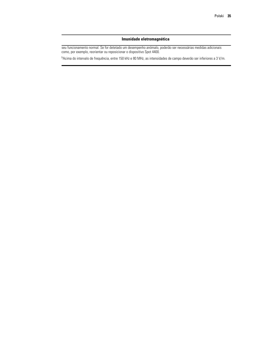seu funcionamento normal. Se for detetado um desempenho anómalo, poderão ser necessárias medidas adicionais como, por exemplo, reorientar ou reposicionar o dispositivo Spot 4400.

<sup>b</sup>Acima do intervalo de frequência, entre 150 kHz e 80 MHz, as intensidades de campo deverão ser inferiores a 3 V/m.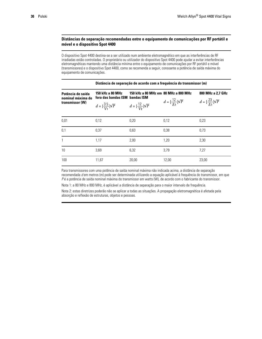### **Distâncias de separação recomendadas entre o equipamento de comunicações por RF portátil e móvel e o dispositivo Spot 4400**

O dispositivo Spot 4400 destina-se a ser utilizado num ambiente eletromagnético em que as interferências de RF irradiadas estão controladas. O proprietário ou utilizador do dispositivo Spot 4400 pode ajudar a evitar interferências eletromagnéticas mantendo uma distância mínima entre o equipamento de comunicações por RF portátil e móvel (transmissores) e o dispositivo Spot 4400, como se recomenda a seguir, consoante a potência de saída máxima do equipamento de comunicações.

|                                                           |                                                                                                      |                                | Distância de separação de acordo com a frequência do transmissor (m) |                                            |
|-----------------------------------------------------------|------------------------------------------------------------------------------------------------------|--------------------------------|----------------------------------------------------------------------|--------------------------------------------|
| Potência de saída<br>nominal máxima do<br>transmissor (W) | 150 kHz a 80 MHz<br>150 kHz a 80 MHz em 80 MHz a 800 MHz<br>fora das bandas ISM<br><b>bandas ISM</b> |                                |                                                                      | 800 MHz a 2,7 GHz                          |
|                                                           | $d = \left[\frac{3.5}{V_1}\right] \sqrt{P}$                                                          | $d = [\frac{12}{V_2}]\sqrt{P}$ | $d = \left[\frac{12}{F_1}\right] \sqrt{P}$                           | $d = \left[\frac{23}{F_1}\right] \sqrt{P}$ |
| 0.01                                                      | 0.12                                                                                                 | 0.20                           | 0,12                                                                 | 0,23                                       |
| 0,1                                                       | 0,37                                                                                                 | 0,63                           | 0,38                                                                 | 0,73                                       |
| $\mathbf{1}$                                              | 1,17                                                                                                 | 2,00                           | 1,20                                                                 | 2,30                                       |
| 10                                                        | 3,69                                                                                                 | 6,32                           | 3,79                                                                 | 7,27                                       |
| 100                                                       | 11,67                                                                                                | 20,00                          | 12,00                                                                | 23,00                                      |

Para transmissores com uma potência de saída nominal máxima não indicada acima, a distância de separação recomendada *d* em metros (m) pode ser determinada utilizando a equação aplicável à frequência do transmissor, em que *P* é a potência de saída nominal máxima do transmissor em watts (W), de acordo com o fabricante do transmissor.

Nota 1: a 80 MHz e 800 MHz, é aplicável a distância de separação para o maior intervalo de frequência.

Nota 2: estas diretrizes poderão não se aplicar a todas as situações. A propagação eletromagnética é afetada pela absorção e reflexão de estruturas, objetos e pessoas.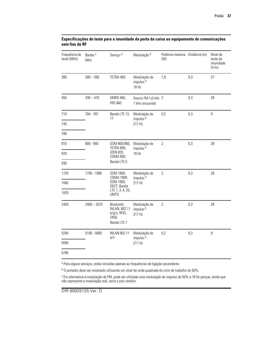| Frequência de<br>teste (MHz) | Banda <sup>a</sup><br>MHz | Serviço <sup>a</sup>                                                                                                 | Modulação b                                         | Potência máxima Distância (m)<br>(W) |     | Nível de<br>teste de<br>imunidade<br>(V/m) |
|------------------------------|---------------------------|----------------------------------------------------------------------------------------------------------------------|-----------------------------------------------------|--------------------------------------|-----|--------------------------------------------|
| 385                          | $380 - 390$               | TETRA 400                                                                                                            | Modulação de<br>impulso <sup>b</sup><br>18 Hz       | 1,8                                  | 0,3 | 27                                         |
| 450                          | $430 - 470$               | GMRS 460,<br><b>FRS 460</b>                                                                                          | Desvio FM <sup>c</sup> ±5 kHz 2<br>1 kHz sinusoidal |                                      | 0,3 | 28                                         |
| 710                          | 704 - 787                 | Banda LTE 13,<br>17                                                                                                  | Modulação de<br>impulso <sup>b</sup>                | 0,2                                  | 0,3 | $\boldsymbol{9}$                           |
| 745                          |                           |                                                                                                                      | 217 Hz                                              |                                      |     |                                            |
| 780                          |                           |                                                                                                                      |                                                     |                                      |     |                                            |
| 810                          | $800 - 960$               | Modulação de<br>GSM 800/900,<br>TETRA 800,<br>impulso <sup>b</sup><br>iDEN 820,<br>18 Hz<br>CDMA 850,<br>Banda LTE 5 |                                                     | $\sqrt{2}$                           | 0,3 | 28                                         |
| 870                          |                           |                                                                                                                      |                                                     |                                      |     |                                            |
| 930                          |                           |                                                                                                                      |                                                     |                                      |     |                                            |
| 1720                         | 1700 - 1990               | GSM 1800;<br>CDMA 1900;                                                                                              | Modulação de<br>impulso <sup>b</sup>                | $\overline{2}$                       | 0,3 | 28                                         |
| 1845                         |                           | GSM 1900;<br>217 Hz<br>DECT; Banda<br>LTE 1, 3, 4, 25;<br><b>UMTS</b>                                                |                                                     |                                      |     |                                            |
| 1970                         |                           |                                                                                                                      |                                                     |                                      |     |                                            |
| 2450                         | $2400 - 2570$             | Bluetooth,<br>WLAN, 802.11<br>b/g/n, RFID,<br>2450,<br>Banda LTE 7                                                   | Modulação de<br>impulso <sup>b</sup><br>217 Hz      | $\overline{2}$                       | 0,3 | 28                                         |
| 5240                         | 5100 - 5800               | WLAN 802.11<br>a/n                                                                                                   | Modulação de                                        | 0,2                                  | 0,3 | $\boldsymbol{9}$                           |
| 5500                         |                           |                                                                                                                      | impulso <sup>b</sup><br>217 Hz                      |                                      |     |                                            |
| 5785                         |                           |                                                                                                                      |                                                     |                                      |     |                                            |

### **Especificações de teste para a imunidade da porta da caixa ao equipamento de comunicações sem fios de RF**

<sup>a</sup> Para alguns serviços, estão incluídas apenas as frequências de ligação ascendente.

<sup>b</sup> O portador deve ser modulado utilizando um sinal de onda quadrada do ciclo de trabalho de 50%.

<sup>c</sup> Em alternativa à modulação de FM, pode ser utilizada uma modulação de impulso de 50% a 18 Hz porque, ainda que não represente a modulação real, seria o pior cenário.

DIR 80025125 Ver. D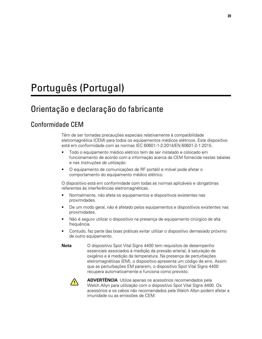# <span id="page-42-0"></span>Português (Portugal)

# Orientação e declaração do fabricante

## Conformidade CEM

Têm de ser tomadas precauções especiais relativamente à compatibilidade eletromagnética (CEM) para todos os equipamentos médicos elétricos. Este dispositivo está em conformidade com as normas IEC 60601-1-2:2014/EN 60601-2-1:2015.

- Todo o equipamento médico elétrico tem de ser instalado e colocado em funcionamento de acordo com a informação acerca da CEM fornecida nestas tabelas e nas *Instruções de utilização*.
- O equipamento de comunicações de RF portátil e móvel pode afetar o comportamento do equipamento médico elétrico.

O dispositivo está em conformidade com todas as normas aplicáveis e obrigatórias referentes às interferências eletromagnéticas.

- Normalmente, não afeta os equipamentos e dispositivos existentes nas proximidades.
- De um modo geral, não é afetado pelos equipamentos e dispositivos existentes nas proximidades.
- Não é seguro utilizar o dispositivo na presença de equipamento cirúrgico de alta frequência.
- Contudo, faz parte das boas práticas evitar utilizar o dispositivo demasiado próximo de outro equipamento.
- **Nota** O dispositivo Spot Vital Signs 4400 tem requisitos de desempenho essenciais associados à medição da pressão arterial, à saturação de oxigénio e à medição da temperatura. Na presença de perturbações eletromagnéticas (EM), o dispositivo apresenta um código de erro. Assim que as perturbações EM pararem, o dispositivo Spot Vital Signs 4400 recupera automaticamente e funciona como previsto.



**ADVERTÊNCIA** Utilize apenas os acessórios recomendados pela Welch Allyn para utilização com o dispositivo Spot Vital Signs 4400. Os acessórios e os cabos não recomendados pela Welch Allyn podem afetar a imunidade ou as emissões de CEM.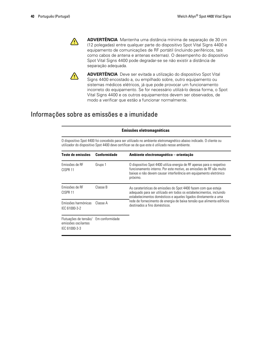

**ADVERTÊNCIA** Mantenha uma distância mínima de separação de 30 cm (12 polegadas) entre qualquer parte do dispositivo Spot Vital Signs 4400 e equipamento de comunicações de RF portátil (incluindo periféricos, tais como cabos de antena e antenas externas). O desempenho do dispositivo Spot Vital Signs 4400 pode degradar-se se não existir a distância de separação adequada.



**ADVERTÊNCIA** Deve ser evitada a utilização do dispositivo Spot Vital Signs 4400 encostado a, ou empilhado sobre, outro equipamento ou sistemas médicos elétricos, já que pode provocar um funcionamento incorreto do equipamento. Se for necessário utilizá-lo dessa forma, o Spot Vital Signs 4400 e os outros equipamentos devem ser observados, de modo a verificar que estão a funcionar normalmente.

## Informações sobre as emissões e a imunidade

| Emissões eletromagnéticas                                                                                                                                                                                            |                     |                                                                                                                                                                                                                                                                                                                      |  |  |  |  |  |
|----------------------------------------------------------------------------------------------------------------------------------------------------------------------------------------------------------------------|---------------------|----------------------------------------------------------------------------------------------------------------------------------------------------------------------------------------------------------------------------------------------------------------------------------------------------------------------|--|--|--|--|--|
| O dispositivo Spot 4400 foi concebido para ser utilizado no ambiente eletromagnético abaixo indicado. O cliente ou<br>utilizador do dispositivo Spot 4400 deve certificar-se de que este é utilizado nesse ambiente. |                     |                                                                                                                                                                                                                                                                                                                      |  |  |  |  |  |
| Teste de emissões                                                                                                                                                                                                    | <b>Conformidade</b> | Ambiente electromagnético - orientação                                                                                                                                                                                                                                                                               |  |  |  |  |  |
| Emissões de RF<br>CISPR <sub>11</sub>                                                                                                                                                                                | Grupo 1             | O dispositivo Spot 4400 utiliza energia de RF apenas para o respetivo<br>funcionamento interno. Por este motivo, as emissões de RF são muito<br>baixas e não devem causar interferência em equipamento eletrónico<br>próximo.                                                                                        |  |  |  |  |  |
| Emissões de RF<br>CISPR <sub>11</sub>                                                                                                                                                                                | Classe B            | As caraterísticas de emissões do Spot 4400 fazem com que esteja<br>adequado para ser utilizado em todos os estabelecimentos, incluindo<br>estabelecimentos domésticos e aqueles ligados diretamente a uma<br>rede de fornecimento de energia de baixa tensão que alimenta edifícios<br>destinados a fins domésticos. |  |  |  |  |  |
| Emissões harmónicas<br>IEC 61000-3-2                                                                                                                                                                                 | Classe A            |                                                                                                                                                                                                                                                                                                                      |  |  |  |  |  |
| Flutuações de tensão/ Em conformidade<br>emissões oscilantes<br>IEC 61000-3-3                                                                                                                                        |                     |                                                                                                                                                                                                                                                                                                                      |  |  |  |  |  |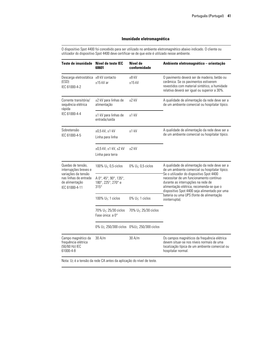O dispositivo Spot 4400 foi concebido para ser utilizado no ambiente eletromagnético abaixo indicado. O cliente ou utilizador do dispositivo Spot 4400 deve certificar-se de que este é utilizado nesse ambiente.

| Teste de imunidade                                                                                                             | Nível de teste IEC<br>60601                                          | Nível de<br>conformidade          | Ambiente eletromagnético - orientação                                                                                                                                                                                                                                                                                                                                                   |  |
|--------------------------------------------------------------------------------------------------------------------------------|----------------------------------------------------------------------|-----------------------------------|-----------------------------------------------------------------------------------------------------------------------------------------------------------------------------------------------------------------------------------------------------------------------------------------------------------------------------------------------------------------------------------------|--|
| Descarga eletrostática ±8 kV contacto<br>(ESD)<br>IEC 61000-4-2                                                                | $±15$ kV ar                                                          | $±8$ kV<br>$±15$ kV               | O pavimento deverá ser de madeira, betão ou<br>cerâmica. Se os pavimentos estiverem<br>revestidos com material sintético, a humidade<br>relativa deverá ser igual ou superior a 30%.                                                                                                                                                                                                    |  |
| Corrente transitória/<br>sequência elétrica<br>rápida<br>IEC 61000-4-4                                                         | ±2 kV para linhas de<br>alimentação                                  | $±2$ kV                           | A qualidade de alimentação da rede deve ser a<br>de um ambiente comercial ou hospitalar típico.                                                                                                                                                                                                                                                                                         |  |
|                                                                                                                                | ±1 kV para linhas de<br>entrada/saída                                | $±1$ kV                           |                                                                                                                                                                                                                                                                                                                                                                                         |  |
| Sobretensão<br>IEC 61000-4-5                                                                                                   | $±0.5$ kV, $±1$ kV<br>Linha para linha                               | $±1$ kV                           | A qualidade de alimentação da rede deve ser a<br>de um ambiente comercial ou hospitalar típico.                                                                                                                                                                                                                                                                                         |  |
|                                                                                                                                | ±0,5 kV, ±1 kV, ±2 kV<br>Linha para terra                            | $±2$ kV                           |                                                                                                                                                                                                                                                                                                                                                                                         |  |
| Quedas de tensão.<br>interrupções breves e<br>variações da tensão<br>nas linhas de entrada<br>de alimentação<br>IEC 61000-4-11 | 100% $U_T$ ; 0,5 ciclos                                              | 0% $U_T$ ; 0,5 ciclos             | A qualidade de alimentação da rede deve ser a<br>de um ambiente comercial ou hospitalar típico.<br>Se o utilizador do dispositivo Spot 4400<br>necessitar de um funcionamento contínuo<br>durante as interrupções na rede de<br>alimentação elétrica, recomenda-se que o<br>dispositivo Spot 4400 seja alimentado por uma<br>bateria ou uma UPS (fonte de alimentação<br>ininterrupta). |  |
|                                                                                                                                | A 0°, 45°, 90°, 135°,<br>180°, 225°, 270° e<br>$315^\circ$           |                                   |                                                                                                                                                                                                                                                                                                                                                                                         |  |
|                                                                                                                                | 100% $U_T$ ; 1 ciclos                                                | $0\%$ U <sub>T</sub> ; 1 ciclos   |                                                                                                                                                                                                                                                                                                                                                                                         |  |
|                                                                                                                                | 70% U <sub>T</sub> ; 25/30 ciclos<br>Fase única: a 0°                | 70% U <sub>T</sub> ; 25/30 ciclos |                                                                                                                                                                                                                                                                                                                                                                                         |  |
|                                                                                                                                | 0% U <sub>T</sub> ; 250/300 ciclos 0%U <sub>T</sub> ; 250/300 ciclos |                                   |                                                                                                                                                                                                                                                                                                                                                                                         |  |
| Campo magnético da<br>frequência elétrica<br>(50/60 Hz) IEC<br>61000-4-8                                                       | 30 A/m                                                               | 30 A/m                            | Os campos magnéticos da frequência elétrica<br>devem situar-se nos níveis normais de uma<br>localização típica de um ambiente comercial ou<br>hospitalar normal.                                                                                                                                                                                                                        |  |

Nota: U<sub>T</sub> é a tensão da rede CA antes da aplicação do nível de teste.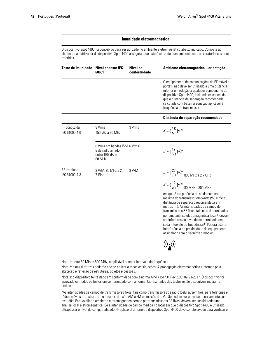O dispositivo Spot 4400 foi concebido para ser utilizado no ambiente eletromagnético abaixo indicado. Compete ao cliente ou ao utilizador do dispositivo Spot 4400 assegurar que este é utilizado num ambiente com as caraterísticas aqui referidas.

| Teste de imunidade            | Nível de teste IEC<br>60601                                                    | Nível de<br>conformidade | Ambiente eletromagnético - orientação                                                                                                                                                                                                                                                                                                                                                                                                                                                                                                                  |
|-------------------------------|--------------------------------------------------------------------------------|--------------------------|--------------------------------------------------------------------------------------------------------------------------------------------------------------------------------------------------------------------------------------------------------------------------------------------------------------------------------------------------------------------------------------------------------------------------------------------------------------------------------------------------------------------------------------------------------|
|                               |                                                                                |                          | O equipamento de comunicações de RF móvel e<br>portátil não deve ser utilizado a uma distância<br>inferior em relação a qualquer componente do<br>dispositivo Spot 4400, incluindo os cabos, do<br>que a distância de separação recomendada,<br>calculada com base na equação aplicável à<br>frequência do transmissor.                                                                                                                                                                                                                                |
|                               |                                                                                |                          | Distância de separação recomendada                                                                                                                                                                                                                                                                                                                                                                                                                                                                                                                     |
| RF conduzida<br>IEC 61000-4-6 | 3 Vrms<br>150 kHz a 80 MHz                                                     | 3 Vrms                   | $d = \left[\frac{3.5}{V_1}\right] \sqrt{P}$                                                                                                                                                                                                                                                                                                                                                                                                                                                                                                            |
|                               | 6 Vrms em bandas ISM 6 Vrms<br>e de rádio amador<br>entre 150 kHz e<br>80 MHz. |                          | $d = \left[\frac{12}{V_2}\right] \sqrt{P}$                                                                                                                                                                                                                                                                                                                                                                                                                                                                                                             |
| RF irradiada<br>IEC 61000-4-3 | 3 V/M, 80 MHz a 2,<br>7 GHz                                                    | 3 V/M                    | $d = [\frac{23}{E1}]\sqrt{P}$ 800 MHz a 2,7 GHz                                                                                                                                                                                                                                                                                                                                                                                                                                                                                                        |
|                               |                                                                                |                          | $d=[\frac{12}{E1}]{\sqrt{P}} \; \textrm{80 MHz a 800 MHz}$<br>em que Pé a potência de saída nominal<br>máxima do transmissor em watts (W) e d é a<br>distância de separação recomendada em<br>metros (m). As intensidades de campo de<br>transmissores RF fixos, tal como determinadas<br>por uma análise eletromagnética local <sup>a</sup> , devem<br>ser inferiores ao nível de conformidade em<br>cada intervalo de frequências <sup>b</sup> . Poderá ocorrer<br>interferência na proximidade de equipamento<br>assinalado com o seguinte símbolo: |
|                               |                                                                                |                          | $\big((\begin{smallmatrix}\bullet\end{smallmatrix})\big)$                                                                                                                                                                                                                                                                                                                                                                                                                                                                                              |

Nota 1: entre 80 MHz e 800 MHz, é aplicável o maior intervalo de frequência.

Nota 2: estas diretrizes poderão não se aplicar a todas as situações. A propagação eletromagnética é afetada pela absorção e reflexão de estruturas, objetos e pessoas.

Nota 3: o dispositivo foi testado em conformidade com a norma AIM 7351731 Rev 2.00: 02-23-2017. O dispositivo foi aprovado em todos os testes em conformidade com a norma. Os resultados dos testes estão disponíveis mediante pedido.

<sup>a</sup>As intensidades de campo de transmissores fixos, tais como transmissores de rádio (celular/sem fios) para telefones e rádios móveis terrestres, rádio amador, difusão AM e FM e emissão de TV, não podem ser previstas teoricamente com exatidão. Para avaliar o ambiente eletromagnético gerado por transmissores RF fixos, deverá ser considerada uma análise local eletromagnética. Se a intensidade do campo medida no local em que o dispositivo Spot 4400 é utilizado ultrapassar o nível de compatibilidade RF aplicável anterior, o dispositivo Spot 4400 deve ser observado para verificar o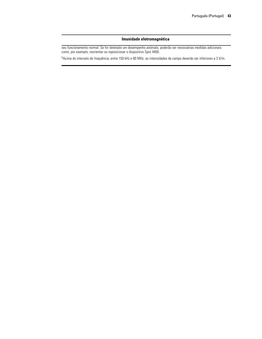seu funcionamento normal. Se for detetado um desempenho anómalo, poderão ser necessárias medidas adicionais como, por exemplo, reorientar ou reposicionar o dispositivo Spot 4400.

<sup>b</sup>Acima do intervalo de frequência, entre 150 kHz e 80 MHz, as intensidades de campo deverão ser inferiores a 3 V/m.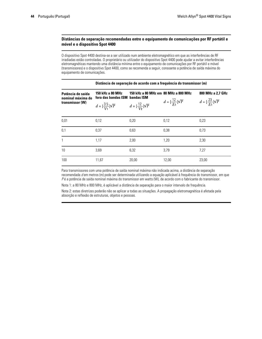### **Distâncias de separação recomendadas entre o equipamento de comunicações por RF portátil e móvel e o dispositivo Spot 4400**

O dispositivo Spot 4400 destina-se a ser utilizado num ambiente eletromagnético em que as interferências de RF irradiadas estão controladas. O proprietário ou utilizador do dispositivo Spot 4400 pode ajudar a evitar interferências eletromagnéticas mantendo uma distância mínima entre o equipamento de comunicações por RF portátil e móvel (transmissores) e o dispositivo Spot 4400, como se recomenda a seguir, consoante a potência de saída máxima do equipamento de comunicações.

|                                                           | Distância de separação de acordo com a frequência do transmissor (m) |                                      |                                            |                                                                 |  |  |
|-----------------------------------------------------------|----------------------------------------------------------------------|--------------------------------------|--------------------------------------------|-----------------------------------------------------------------|--|--|
| Potência de saída<br>nominal máxima do<br>transmissor (W) | 150 kHz a 80 MHz<br>fora das bandas ISM bandas ISM                   | 150 kHz a 80 MHz em 80 MHz a 800 MHz | $d = \left[\frac{12}{F_1}\right] \sqrt{P}$ | 800 MHz a 2,7 GHz<br>$d = \left[\frac{23}{F_1}\right] \sqrt{P}$ |  |  |
|                                                           | $d = \left[\frac{35}{V_1}\right] \sqrt{P}$                           | $d = [\frac{12}{V_2}]\sqrt{P}$       |                                            |                                                                 |  |  |
| 0,01                                                      | 0,12                                                                 | 0,20                                 | 0,12                                       | 0,23                                                            |  |  |
| 0,1                                                       | 0.37                                                                 | 0,63                                 | 0.38                                       | 0,73                                                            |  |  |
| $\mathbf{1}$                                              | 1,17                                                                 | 2,00                                 | 1,20                                       | 2,30                                                            |  |  |
| 10                                                        | 3,69                                                                 | 6,32                                 | 3,79                                       | 7,27                                                            |  |  |
| 100                                                       | 11,67                                                                | 20,00                                | 12,00                                      | 23,00                                                           |  |  |

Para transmissores com uma potência de saída nominal máxima não indicada acima, a distância de separação recomendada *d* em metros (m) pode ser determinada utilizando a equação aplicável à frequência do transmissor, em que *P* é a potência de saída nominal máxima do transmissor em watts (W), de acordo com o fabricante do transmissor.

Nota 1: a 80 MHz e 800 MHz, é aplicável a distância de separação para o maior intervalo de frequência.

Nota 2: estas diretrizes poderão não se aplicar a todas as situações. A propagação eletromagnética é afetada pela absorção e reflexão de estruturas, objetos e pessoas.